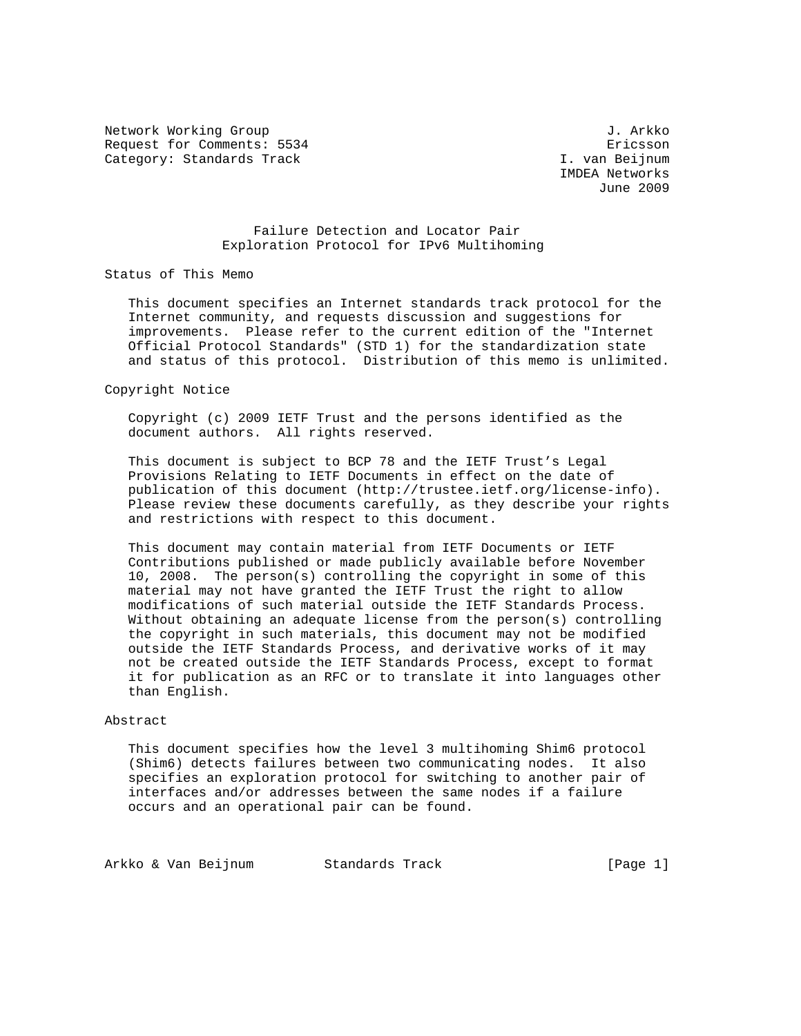Network Working Group 3. Arkko J. Arkko J. Arkko Request for Comments: 5534 Ericsson Category: Standards Track and South Category: Standards Track

 IMDEA Networks June 2009

## Failure Detection and Locator Pair Exploration Protocol for IPv6 Multihoming

Status of This Memo

 This document specifies an Internet standards track protocol for the Internet community, and requests discussion and suggestions for improvements. Please refer to the current edition of the "Internet Official Protocol Standards" (STD 1) for the standardization state and status of this protocol. Distribution of this memo is unlimited.

#### Copyright Notice

 Copyright (c) 2009 IETF Trust and the persons identified as the document authors. All rights reserved.

 This document is subject to BCP 78 and the IETF Trust's Legal Provisions Relating to IETF Documents in effect on the date of publication of this document (http://trustee.ietf.org/license-info). Please review these documents carefully, as they describe your rights and restrictions with respect to this document.

 This document may contain material from IETF Documents or IETF Contributions published or made publicly available before November 10, 2008. The person(s) controlling the copyright in some of this material may not have granted the IETF Trust the right to allow modifications of such material outside the IETF Standards Process. Without obtaining an adequate license from the person(s) controlling the copyright in such materials, this document may not be modified outside the IETF Standards Process, and derivative works of it may not be created outside the IETF Standards Process, except to format it for publication as an RFC or to translate it into languages other than English.

### Abstract

 This document specifies how the level 3 multihoming Shim6 protocol (Shim6) detects failures between two communicating nodes. It also specifies an exploration protocol for switching to another pair of interfaces and/or addresses between the same nodes if a failure occurs and an operational pair can be found.

Arkko & Van Beijnum Standards Track (Page 1)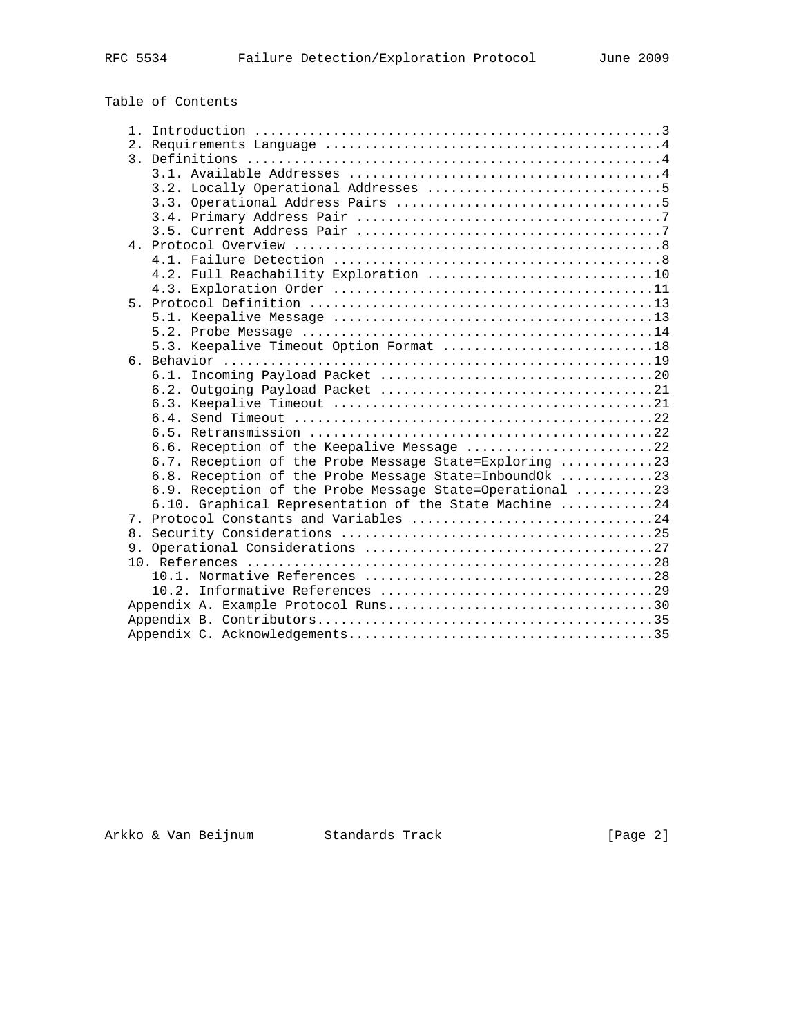| Table of Contents |  |
|-------------------|--|
|-------------------|--|

|  | 5.3. Keepalive Timeout Option Format 18                  |  |
|--|----------------------------------------------------------|--|
|  |                                                          |  |
|  |                                                          |  |
|  |                                                          |  |
|  |                                                          |  |
|  |                                                          |  |
|  |                                                          |  |
|  | 6.6. Reception of the Keepalive Message 22               |  |
|  | 6.7. Reception of the Probe Message State=Exploring 23   |  |
|  | 6.8. Reception of the Probe Message State=InboundOk 23   |  |
|  | 6.9. Reception of the Probe Message State=Operational 23 |  |
|  | 6.10. Graphical Representation of the State Machine 24   |  |
|  | 7. Protocol Constants and Variables 24                   |  |
|  |                                                          |  |
|  |                                                          |  |
|  |                                                          |  |
|  |                                                          |  |
|  |                                                          |  |
|  | Appendix A. Example Protocol Runs30                      |  |
|  |                                                          |  |
|  |                                                          |  |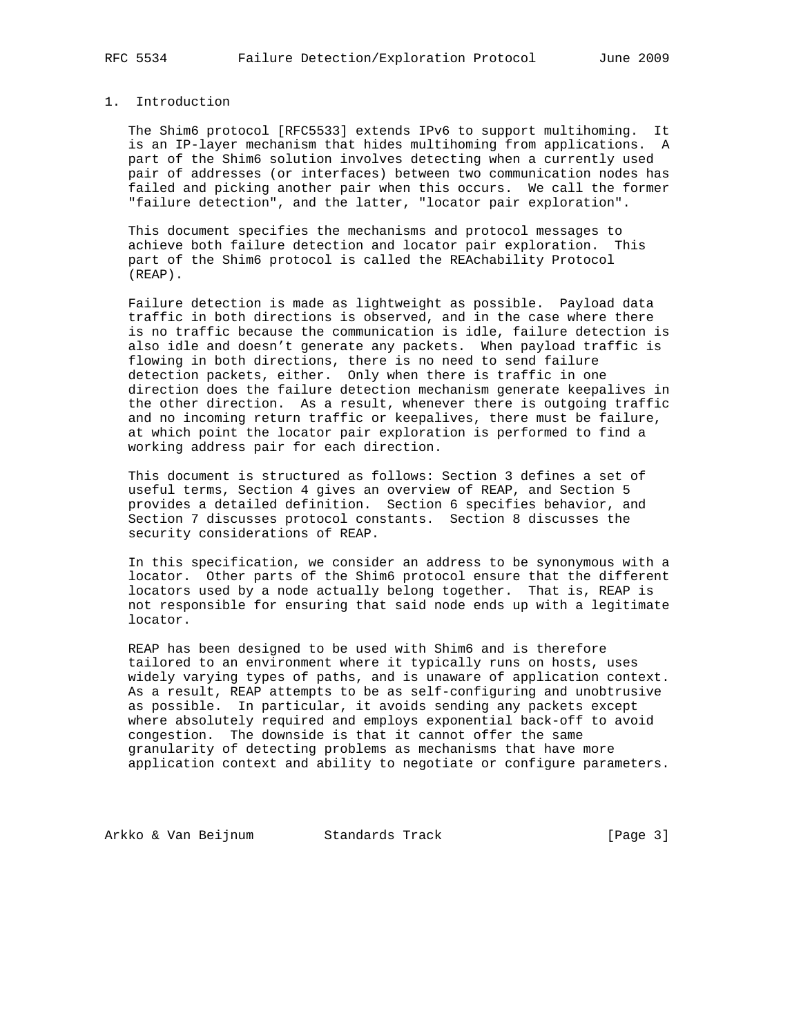## 1. Introduction

 The Shim6 protocol [RFC5533] extends IPv6 to support multihoming. It is an IP-layer mechanism that hides multihoming from applications. A part of the Shim6 solution involves detecting when a currently used pair of addresses (or interfaces) between two communication nodes has failed and picking another pair when this occurs. We call the former "failure detection", and the latter, "locator pair exploration".

 This document specifies the mechanisms and protocol messages to achieve both failure detection and locator pair exploration. This part of the Shim6 protocol is called the REAchability Protocol (REAP).

 Failure detection is made as lightweight as possible. Payload data traffic in both directions is observed, and in the case where there is no traffic because the communication is idle, failure detection is also idle and doesn't generate any packets. When payload traffic is flowing in both directions, there is no need to send failure detection packets, either. Only when there is traffic in one direction does the failure detection mechanism generate keepalives in the other direction. As a result, whenever there is outgoing traffic and no incoming return traffic or keepalives, there must be failure, at which point the locator pair exploration is performed to find a working address pair for each direction.

 This document is structured as follows: Section 3 defines a set of useful terms, Section 4 gives an overview of REAP, and Section 5 provides a detailed definition. Section 6 specifies behavior, and Section 7 discusses protocol constants. Section 8 discusses the security considerations of REAP.

 In this specification, we consider an address to be synonymous with a locator. Other parts of the Shim6 protocol ensure that the different locators used by a node actually belong together. That is, REAP is not responsible for ensuring that said node ends up with a legitimate locator.

 REAP has been designed to be used with Shim6 and is therefore tailored to an environment where it typically runs on hosts, uses widely varying types of paths, and is unaware of application context. As a result, REAP attempts to be as self-configuring and unobtrusive as possible. In particular, it avoids sending any packets except where absolutely required and employs exponential back-off to avoid congestion. The downside is that it cannot offer the same granularity of detecting problems as mechanisms that have more application context and ability to negotiate or configure parameters.

Arkko & Van Beijnum Standards Track (Page 3)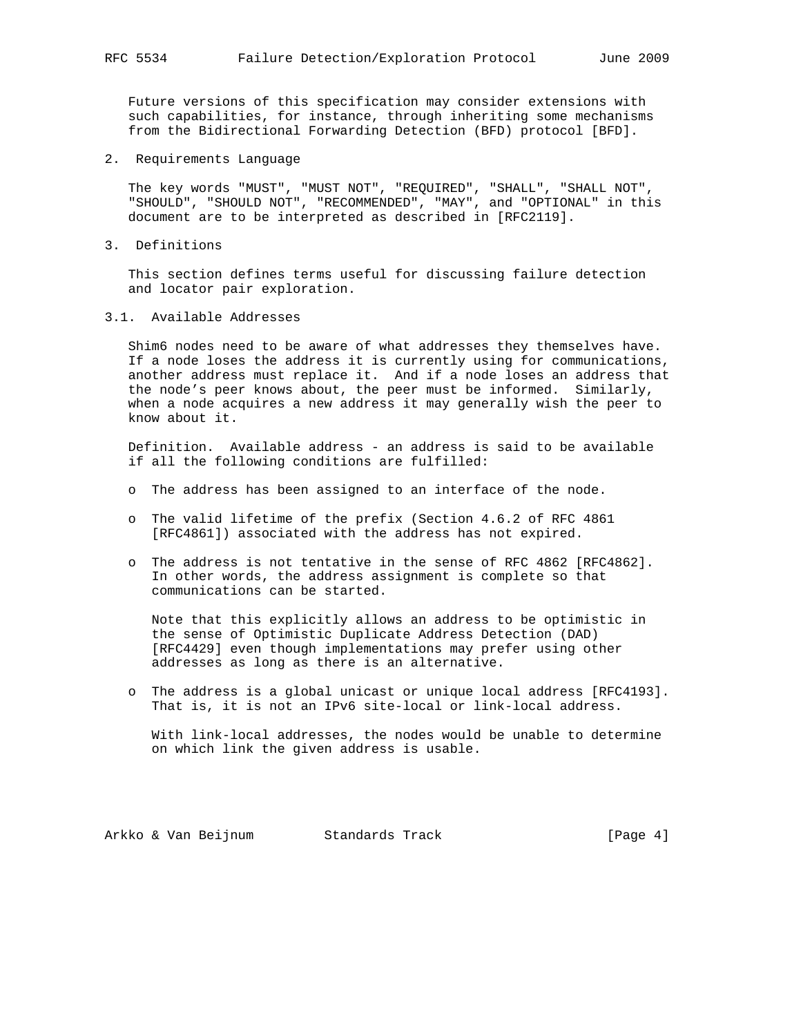Future versions of this specification may consider extensions with such capabilities, for instance, through inheriting some mechanisms from the Bidirectional Forwarding Detection (BFD) protocol [BFD].

2. Requirements Language

 The key words "MUST", "MUST NOT", "REQUIRED", "SHALL", "SHALL NOT", "SHOULD", "SHOULD NOT", "RECOMMENDED", "MAY", and "OPTIONAL" in this document are to be interpreted as described in [RFC2119].

3. Definitions

 This section defines terms useful for discussing failure detection and locator pair exploration.

3.1. Available Addresses

 Shim6 nodes need to be aware of what addresses they themselves have. If a node loses the address it is currently using for communications, another address must replace it. And if a node loses an address that the node's peer knows about, the peer must be informed. Similarly, when a node acquires a new address it may generally wish the peer to know about it.

 Definition. Available address - an address is said to be available if all the following conditions are fulfilled:

- o The address has been assigned to an interface of the node.
- o The valid lifetime of the prefix (Section 4.6.2 of RFC 4861 [RFC4861]) associated with the address has not expired.
- o The address is not tentative in the sense of RFC 4862 [RFC4862]. In other words, the address assignment is complete so that communications can be started.

 Note that this explicitly allows an address to be optimistic in the sense of Optimistic Duplicate Address Detection (DAD) [RFC4429] even though implementations may prefer using other addresses as long as there is an alternative.

 o The address is a global unicast or unique local address [RFC4193]. That is, it is not an IPv6 site-local or link-local address.

 With link-local addresses, the nodes would be unable to determine on which link the given address is usable.

Arkko & Van Beijnum Standards Track (Page 4)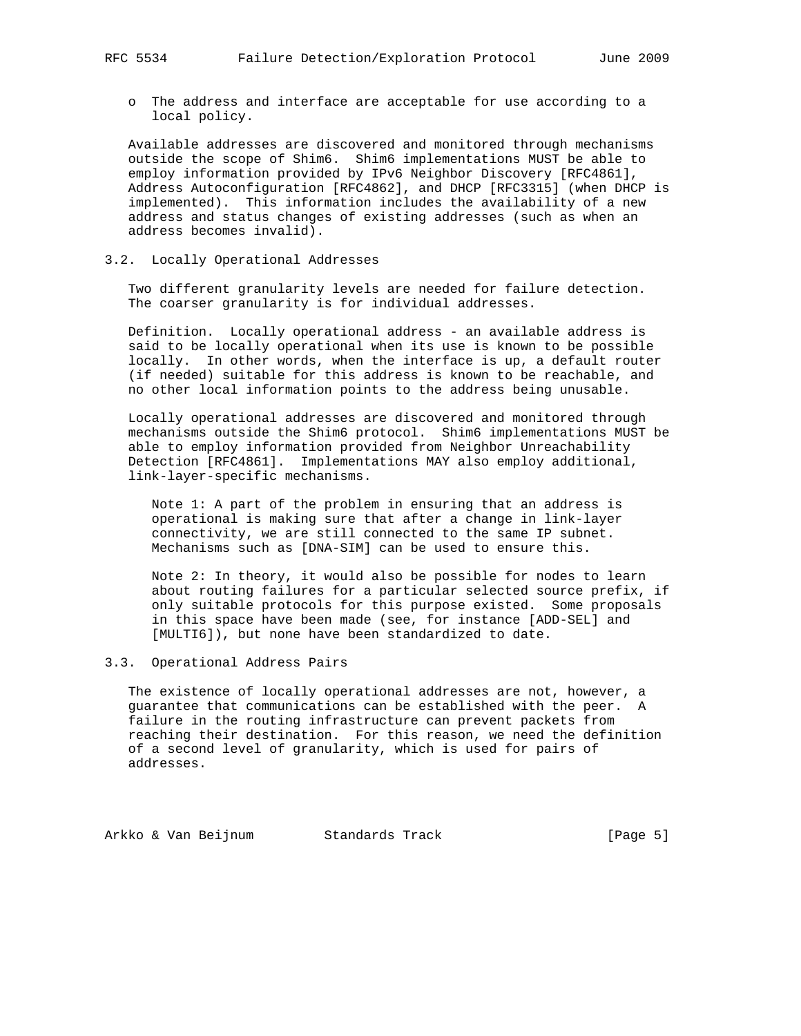o The address and interface are acceptable for use according to a local policy.

 Available addresses are discovered and monitored through mechanisms outside the scope of Shim6. Shim6 implementations MUST be able to employ information provided by IPv6 Neighbor Discovery [RFC4861], Address Autoconfiguration [RFC4862], and DHCP [RFC3315] (when DHCP is implemented). This information includes the availability of a new address and status changes of existing addresses (such as when an address becomes invalid).

### 3.2. Locally Operational Addresses

 Two different granularity levels are needed for failure detection. The coarser granularity is for individual addresses.

 Definition. Locally operational address - an available address is said to be locally operational when its use is known to be possible locally. In other words, when the interface is up, a default router (if needed) suitable for this address is known to be reachable, and no other local information points to the address being unusable.

 Locally operational addresses are discovered and monitored through mechanisms outside the Shim6 protocol. Shim6 implementations MUST be able to employ information provided from Neighbor Unreachability Detection [RFC4861]. Implementations MAY also employ additional, link-layer-specific mechanisms.

 Note 1: A part of the problem in ensuring that an address is operational is making sure that after a change in link-layer connectivity, we are still connected to the same IP subnet. Mechanisms such as [DNA-SIM] can be used to ensure this.

 Note 2: In theory, it would also be possible for nodes to learn about routing failures for a particular selected source prefix, if only suitable protocols for this purpose existed. Some proposals in this space have been made (see, for instance [ADD-SEL] and [MULTI6]), but none have been standardized to date.

### 3.3. Operational Address Pairs

 The existence of locally operational addresses are not, however, a guarantee that communications can be established with the peer. A failure in the routing infrastructure can prevent packets from reaching their destination. For this reason, we need the definition of a second level of granularity, which is used for pairs of addresses.

Arkko & Van Beijnum Standards Track (Page 5)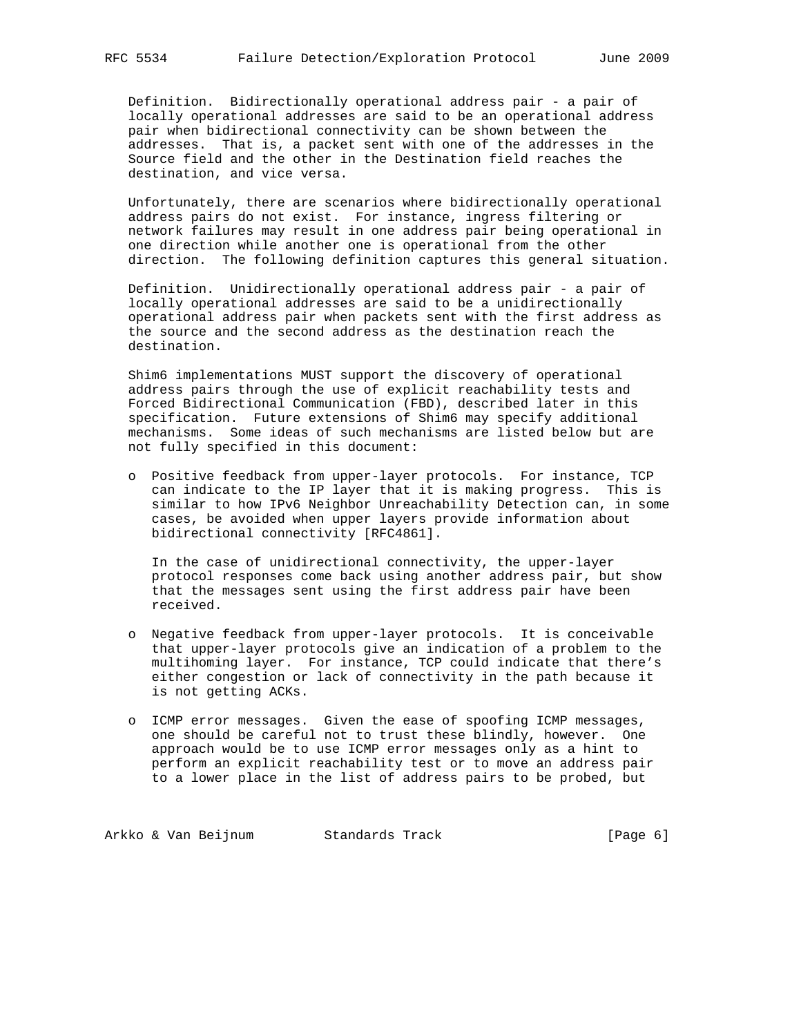Definition. Bidirectionally operational address pair - a pair of locally operational addresses are said to be an operational address pair when bidirectional connectivity can be shown between the addresses. That is, a packet sent with one of the addresses in the Source field and the other in the Destination field reaches the destination, and vice versa.

 Unfortunately, there are scenarios where bidirectionally operational address pairs do not exist. For instance, ingress filtering or network failures may result in one address pair being operational in one direction while another one is operational from the other direction. The following definition captures this general situation.

 Definition. Unidirectionally operational address pair - a pair of locally operational addresses are said to be a unidirectionally operational address pair when packets sent with the first address as the source and the second address as the destination reach the destination.

 Shim6 implementations MUST support the discovery of operational address pairs through the use of explicit reachability tests and Forced Bidirectional Communication (FBD), described later in this specification. Future extensions of Shim6 may specify additional mechanisms. Some ideas of such mechanisms are listed below but are not fully specified in this document:

 o Positive feedback from upper-layer protocols. For instance, TCP can indicate to the IP layer that it is making progress. This is similar to how IPv6 Neighbor Unreachability Detection can, in some cases, be avoided when upper layers provide information about bidirectional connectivity [RFC4861].

 In the case of unidirectional connectivity, the upper-layer protocol responses come back using another address pair, but show that the messages sent using the first address pair have been received.

- o Negative feedback from upper-layer protocols. It is conceivable that upper-layer protocols give an indication of a problem to the multihoming layer. For instance, TCP could indicate that there's either congestion or lack of connectivity in the path because it is not getting ACKs.
- o ICMP error messages. Given the ease of spoofing ICMP messages, one should be careful not to trust these blindly, however. One approach would be to use ICMP error messages only as a hint to perform an explicit reachability test or to move an address pair to a lower place in the list of address pairs to be probed, but

Arkko & Van Beijnum Standards Track (Page 6)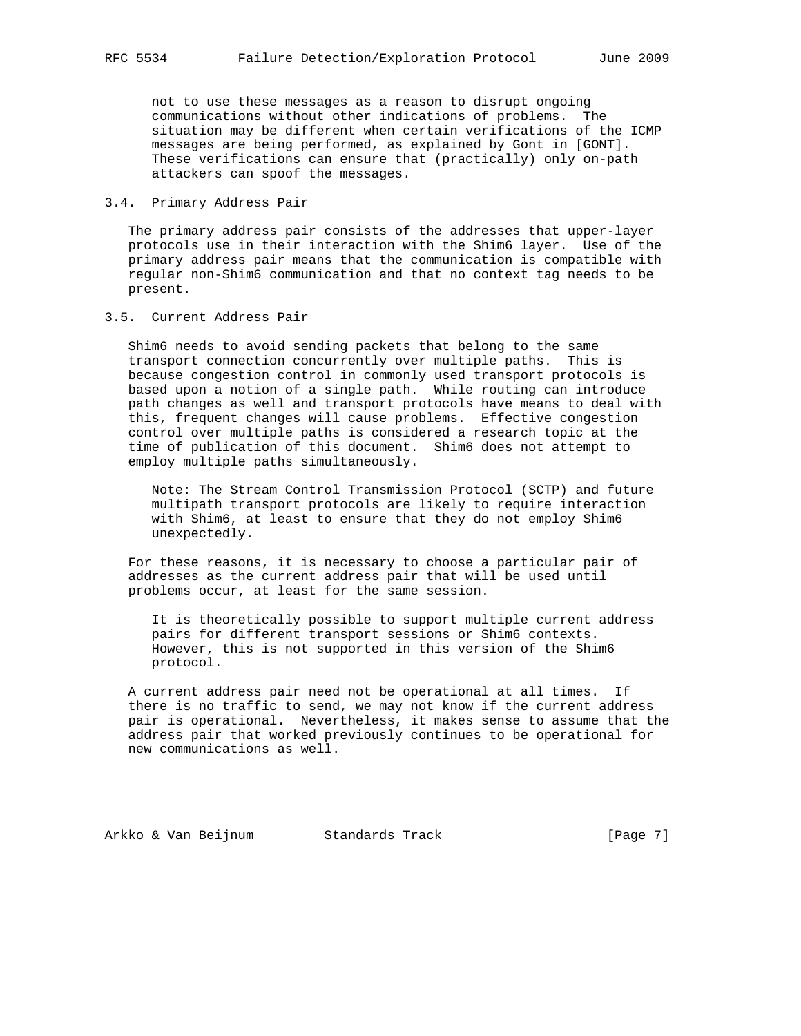not to use these messages as a reason to disrupt ongoing communications without other indications of problems. The situation may be different when certain verifications of the ICMP messages are being performed, as explained by Gont in [GONT]. These verifications can ensure that (practically) only on-path attackers can spoof the messages.

### 3.4. Primary Address Pair

 The primary address pair consists of the addresses that upper-layer protocols use in their interaction with the Shim6 layer. Use of the primary address pair means that the communication is compatible with regular non-Shim6 communication and that no context tag needs to be present.

### 3.5. Current Address Pair

 Shim6 needs to avoid sending packets that belong to the same transport connection concurrently over multiple paths. This is because congestion control in commonly used transport protocols is based upon a notion of a single path. While routing can introduce path changes as well and transport protocols have means to deal with this, frequent changes will cause problems. Effective congestion control over multiple paths is considered a research topic at the time of publication of this document. Shim6 does not attempt to employ multiple paths simultaneously.

 Note: The Stream Control Transmission Protocol (SCTP) and future multipath transport protocols are likely to require interaction with Shim6, at least to ensure that they do not employ Shim6 unexpectedly.

 For these reasons, it is necessary to choose a particular pair of addresses as the current address pair that will be used until problems occur, at least for the same session.

 It is theoretically possible to support multiple current address pairs for different transport sessions or Shim6 contexts. However, this is not supported in this version of the Shim6 protocol.

 A current address pair need not be operational at all times. If there is no traffic to send, we may not know if the current address pair is operational. Nevertheless, it makes sense to assume that the address pair that worked previously continues to be operational for new communications as well.

Arkko & Van Beijnum Standards Track [Page 7]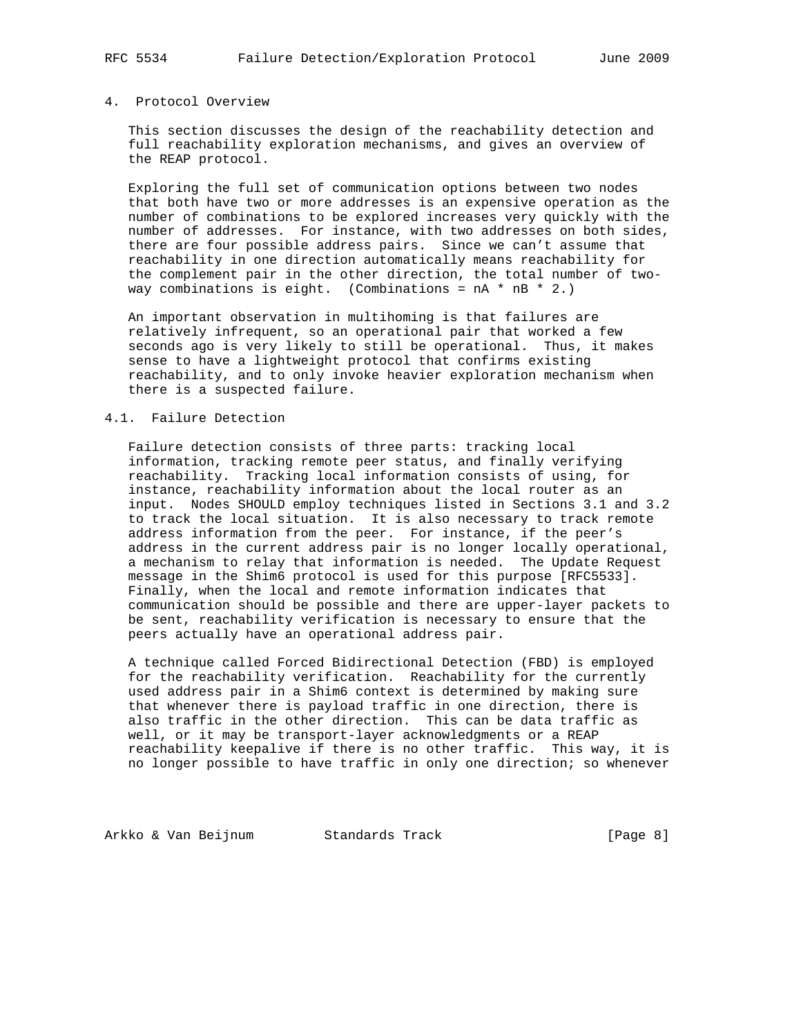## 4. Protocol Overview

 This section discusses the design of the reachability detection and full reachability exploration mechanisms, and gives an overview of the REAP protocol.

 Exploring the full set of communication options between two nodes that both have two or more addresses is an expensive operation as the number of combinations to be explored increases very quickly with the number of addresses. For instance, with two addresses on both sides, there are four possible address pairs. Since we can't assume that reachability in one direction automatically means reachability for the complement pair in the other direction, the total number of two way combinations is eight. (Combinations =  $nA * nB * 2$ .)

 An important observation in multihoming is that failures are relatively infrequent, so an operational pair that worked a few seconds ago is very likely to still be operational. Thus, it makes sense to have a lightweight protocol that confirms existing reachability, and to only invoke heavier exploration mechanism when there is a suspected failure.

### 4.1. Failure Detection

 Failure detection consists of three parts: tracking local information, tracking remote peer status, and finally verifying reachability. Tracking local information consists of using, for instance, reachability information about the local router as an input. Nodes SHOULD employ techniques listed in Sections 3.1 and 3.2 to track the local situation. It is also necessary to track remote address information from the peer. For instance, if the peer's address in the current address pair is no longer locally operational, a mechanism to relay that information is needed. The Update Request message in the Shim6 protocol is used for this purpose [RFC5533]. Finally, when the local and remote information indicates that communication should be possible and there are upper-layer packets to be sent, reachability verification is necessary to ensure that the peers actually have an operational address pair.

 A technique called Forced Bidirectional Detection (FBD) is employed for the reachability verification. Reachability for the currently used address pair in a Shim6 context is determined by making sure that whenever there is payload traffic in one direction, there is also traffic in the other direction. This can be data traffic as well, or it may be transport-layer acknowledgments or a REAP reachability keepalive if there is no other traffic. This way, it is no longer possible to have traffic in only one direction; so whenever

Arkko & Van Beijnum Standards Track (Page 8)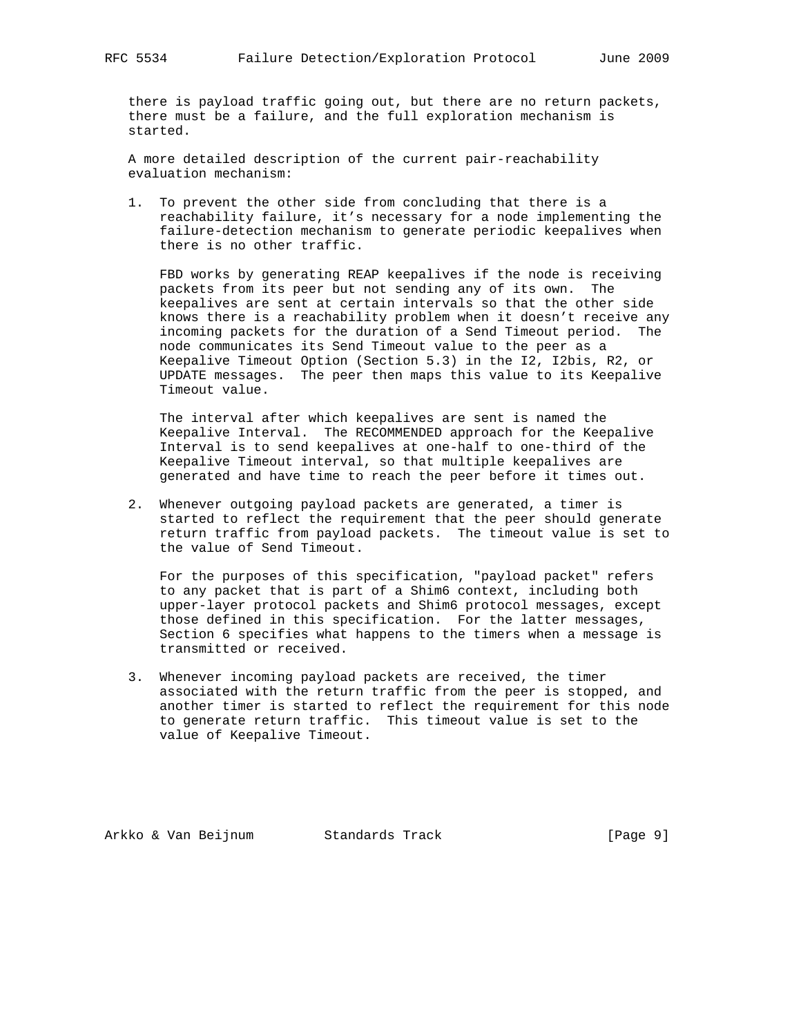there is payload traffic going out, but there are no return packets, there must be a failure, and the full exploration mechanism is started.

 A more detailed description of the current pair-reachability evaluation mechanism:

 1. To prevent the other side from concluding that there is a reachability failure, it's necessary for a node implementing the failure-detection mechanism to generate periodic keepalives when there is no other traffic.

 FBD works by generating REAP keepalives if the node is receiving packets from its peer but not sending any of its own. The keepalives are sent at certain intervals so that the other side knows there is a reachability problem when it doesn't receive any incoming packets for the duration of a Send Timeout period. The node communicates its Send Timeout value to the peer as a Keepalive Timeout Option (Section 5.3) in the I2, I2bis, R2, or UPDATE messages. The peer then maps this value to its Keepalive Timeout value.

 The interval after which keepalives are sent is named the Keepalive Interval. The RECOMMENDED approach for the Keepalive Interval is to send keepalives at one-half to one-third of the Keepalive Timeout interval, so that multiple keepalives are generated and have time to reach the peer before it times out.

 2. Whenever outgoing payload packets are generated, a timer is started to reflect the requirement that the peer should generate return traffic from payload packets. The timeout value is set to the value of Send Timeout.

 For the purposes of this specification, "payload packet" refers to any packet that is part of a Shim6 context, including both upper-layer protocol packets and Shim6 protocol messages, except those defined in this specification. For the latter messages, Section 6 specifies what happens to the timers when a message is transmitted or received.

 3. Whenever incoming payload packets are received, the timer associated with the return traffic from the peer is stopped, and another timer is started to reflect the requirement for this node to generate return traffic. This timeout value is set to the value of Keepalive Timeout.

Arkko & Van Beijnum Standards Track [Page 9]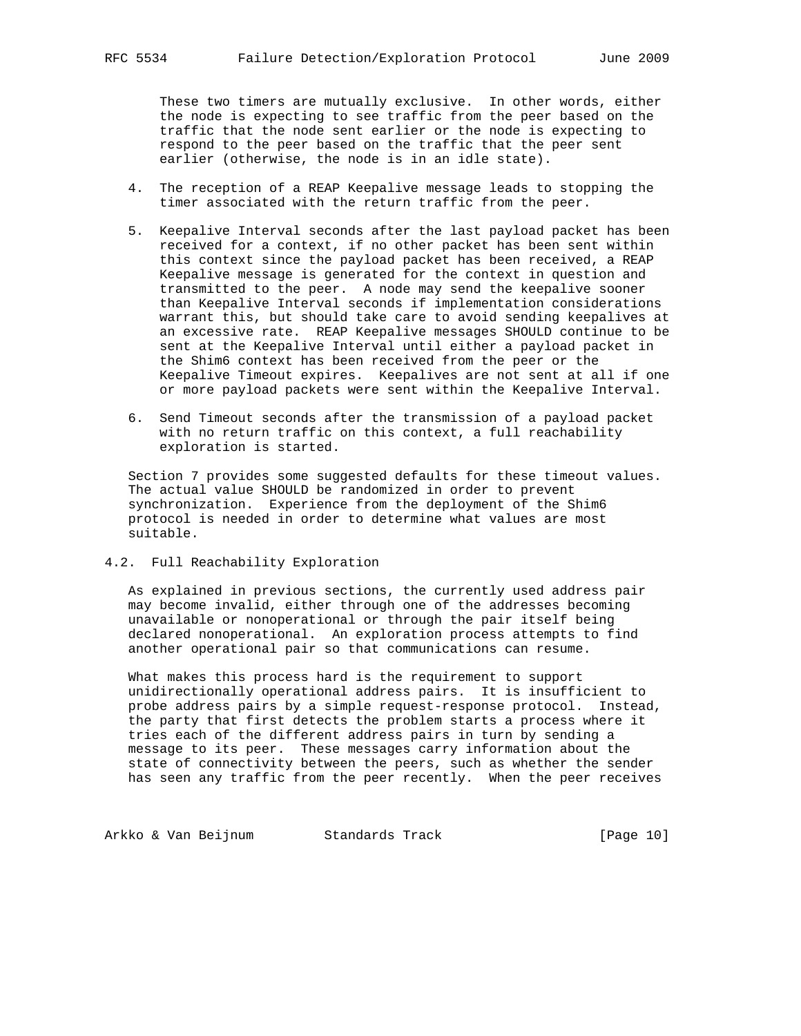These two timers are mutually exclusive. In other words, either the node is expecting to see traffic from the peer based on the traffic that the node sent earlier or the node is expecting to respond to the peer based on the traffic that the peer sent earlier (otherwise, the node is in an idle state).

- 4. The reception of a REAP Keepalive message leads to stopping the timer associated with the return traffic from the peer.
- 5. Keepalive Interval seconds after the last payload packet has been received for a context, if no other packet has been sent within this context since the payload packet has been received, a REAP Keepalive message is generated for the context in question and transmitted to the peer. A node may send the keepalive sooner than Keepalive Interval seconds if implementation considerations warrant this, but should take care to avoid sending keepalives at an excessive rate. REAP Keepalive messages SHOULD continue to be sent at the Keepalive Interval until either a payload packet in the Shim6 context has been received from the peer or the Keepalive Timeout expires. Keepalives are not sent at all if one or more payload packets were sent within the Keepalive Interval.
- 6. Send Timeout seconds after the transmission of a payload packet with no return traffic on this context, a full reachability exploration is started.

 Section 7 provides some suggested defaults for these timeout values. The actual value SHOULD be randomized in order to prevent synchronization. Experience from the deployment of the Shim6 protocol is needed in order to determine what values are most suitable.

## 4.2. Full Reachability Exploration

 As explained in previous sections, the currently used address pair may become invalid, either through one of the addresses becoming unavailable or nonoperational or through the pair itself being declared nonoperational. An exploration process attempts to find another operational pair so that communications can resume.

 What makes this process hard is the requirement to support unidirectionally operational address pairs. It is insufficient to probe address pairs by a simple request-response protocol. Instead, the party that first detects the problem starts a process where it tries each of the different address pairs in turn by sending a message to its peer. These messages carry information about the state of connectivity between the peers, such as whether the sender has seen any traffic from the peer recently. When the peer receives

Arkko & Van Beijnum Standards Track [Page 10]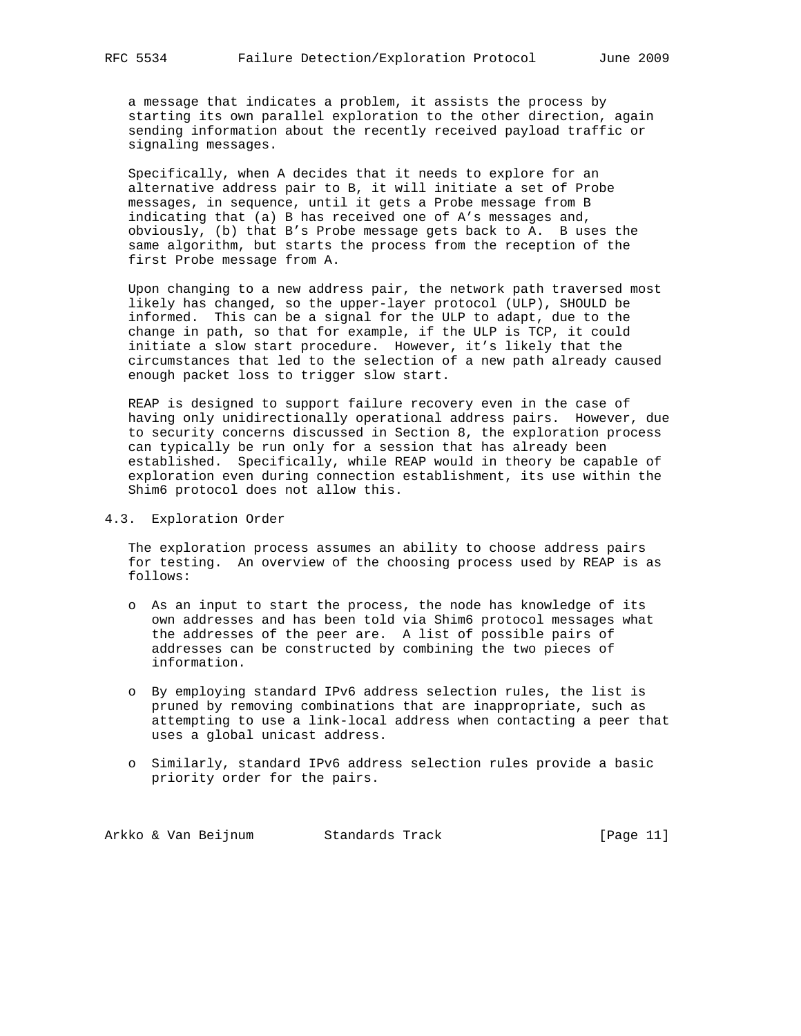a message that indicates a problem, it assists the process by starting its own parallel exploration to the other direction, again sending information about the recently received payload traffic or signaling messages.

 Specifically, when A decides that it needs to explore for an alternative address pair to B, it will initiate a set of Probe messages, in sequence, until it gets a Probe message from B indicating that (a) B has received one of A's messages and, obviously, (b) that B's Probe message gets back to A. B uses the same algorithm, but starts the process from the reception of the first Probe message from A.

 Upon changing to a new address pair, the network path traversed most likely has changed, so the upper-layer protocol (ULP), SHOULD be informed. This can be a signal for the ULP to adapt, due to the change in path, so that for example, if the ULP is TCP, it could initiate a slow start procedure. However, it's likely that the circumstances that led to the selection of a new path already caused enough packet loss to trigger slow start.

 REAP is designed to support failure recovery even in the case of having only unidirectionally operational address pairs. However, due to security concerns discussed in Section 8, the exploration process can typically be run only for a session that has already been established. Specifically, while REAP would in theory be capable of exploration even during connection establishment, its use within the Shim6 protocol does not allow this.

### 4.3. Exploration Order

 The exploration process assumes an ability to choose address pairs for testing. An overview of the choosing process used by REAP is as follows:

- o As an input to start the process, the node has knowledge of its own addresses and has been told via Shim6 protocol messages what the addresses of the peer are. A list of possible pairs of addresses can be constructed by combining the two pieces of information.
- o By employing standard IPv6 address selection rules, the list is pruned by removing combinations that are inappropriate, such as attempting to use a link-local address when contacting a peer that uses a global unicast address.
- o Similarly, standard IPv6 address selection rules provide a basic priority order for the pairs.

Arkko & Van Beijnum Standards Track (Page 11)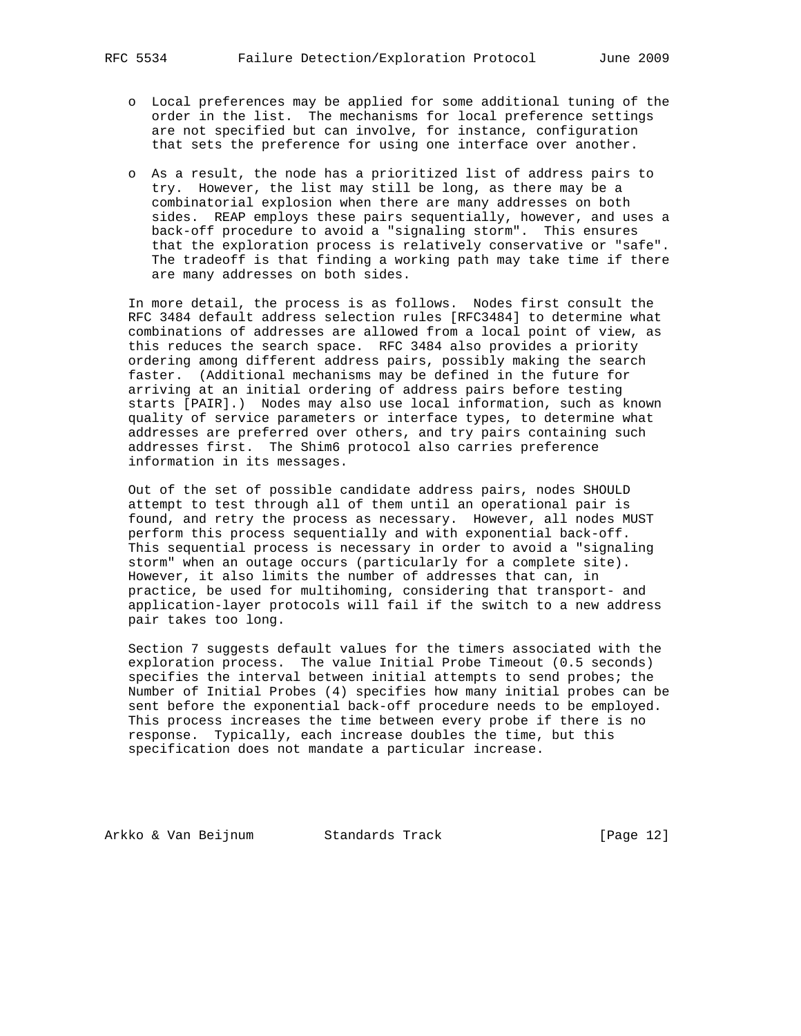- o Local preferences may be applied for some additional tuning of the order in the list. The mechanisms for local preference settings are not specified but can involve, for instance, configuration that sets the preference for using one interface over another.
- o As a result, the node has a prioritized list of address pairs to try. However, the list may still be long, as there may be a combinatorial explosion when there are many addresses on both sides. REAP employs these pairs sequentially, however, and uses a back-off procedure to avoid a "signaling storm". This ensures that the exploration process is relatively conservative or "safe". The tradeoff is that finding a working path may take time if there are many addresses on both sides.

 In more detail, the process is as follows. Nodes first consult the RFC 3484 default address selection rules [RFC3484] to determine what combinations of addresses are allowed from a local point of view, as this reduces the search space. RFC 3484 also provides a priority ordering among different address pairs, possibly making the search faster. (Additional mechanisms may be defined in the future for arriving at an initial ordering of address pairs before testing starts [PAIR].) Nodes may also use local information, such as known quality of service parameters or interface types, to determine what addresses are preferred over others, and try pairs containing such addresses first. The Shim6 protocol also carries preference information in its messages.

 Out of the set of possible candidate address pairs, nodes SHOULD attempt to test through all of them until an operational pair is found, and retry the process as necessary. However, all nodes MUST perform this process sequentially and with exponential back-off. This sequential process is necessary in order to avoid a "signaling storm" when an outage occurs (particularly for a complete site). However, it also limits the number of addresses that can, in practice, be used for multihoming, considering that transport- and application-layer protocols will fail if the switch to a new address pair takes too long.

 Section 7 suggests default values for the timers associated with the exploration process. The value Initial Probe Timeout (0.5 seconds) specifies the interval between initial attempts to send probes; the Number of Initial Probes (4) specifies how many initial probes can be sent before the exponential back-off procedure needs to be employed. This process increases the time between every probe if there is no response. Typically, each increase doubles the time, but this specification does not mandate a particular increase.

Arkko & Van Beijnum Standards Track [Page 12]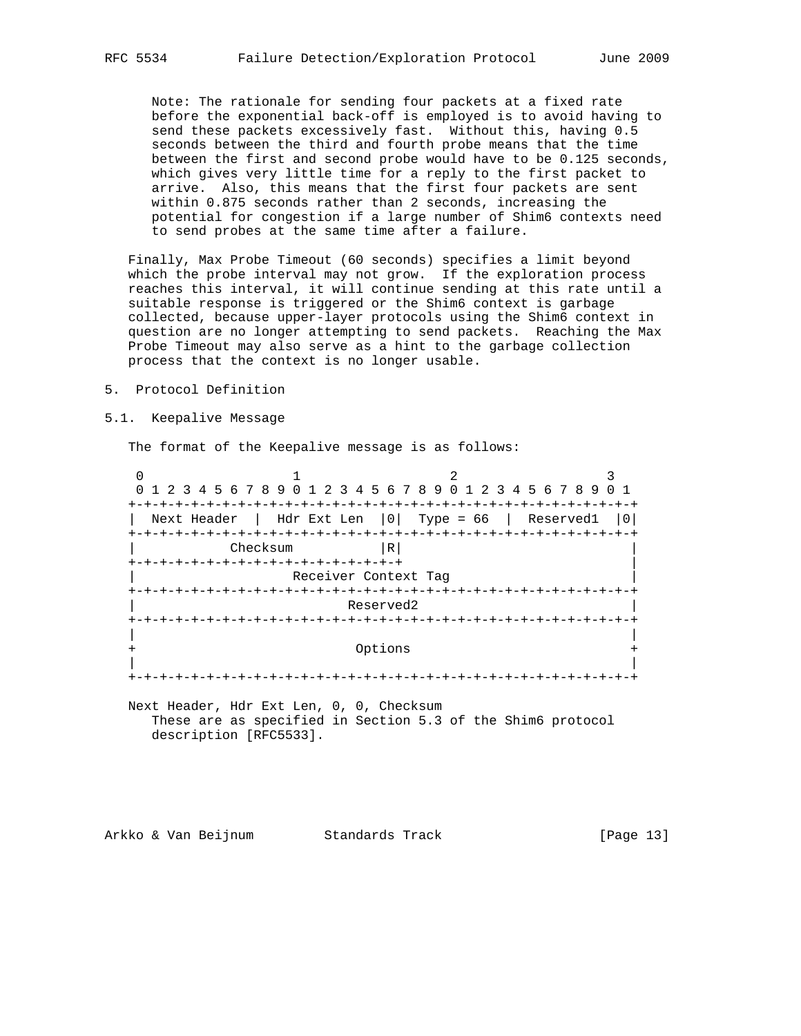Note: The rationale for sending four packets at a fixed rate before the exponential back-off is employed is to avoid having to send these packets excessively fast. Without this, having 0.5 seconds between the third and fourth probe means that the time between the first and second probe would have to be 0.125 seconds, which gives very little time for a reply to the first packet to arrive. Also, this means that the first four packets are sent within 0.875 seconds rather than 2 seconds, increasing the potential for congestion if a large number of Shim6 contexts need to send probes at the same time after a failure.

 Finally, Max Probe Timeout (60 seconds) specifies a limit beyond which the probe interval may not grow. If the exploration process reaches this interval, it will continue sending at this rate until a suitable response is triggered or the Shim6 context is garbage collected, because upper-layer protocols using the Shim6 context in question are no longer attempting to send packets. Reaching the Max Probe Timeout may also serve as a hint to the garbage collection process that the context is no longer usable.

- 5. Protocol Definition
- 5.1. Keepalive Message

The format of the Keepalive message is as follows:

0  $1$  2 3 0 1 2 3 4 5 6 7 8 9 0 1 2 3 4 5 6 7 8 9 0 1 2 3 4 5 6 7 8 9 0 1 +-+-+-+-+-+-+-+-+-+-+-+-+-+-+-+-+-+-+-+-+-+-+-+-+-+-+-+-+-+-+-+-+ | Next Header | Hdr Ext Len |0| Type = 66 | Reserved1 |0| +-+-+-+-+-+-+-+-+-+-+-+-+-+-+-+-+-+-+-+-+-+-+-+-+-+-+-+-+-+-+-+-+ Checksum |R| +-+-+-+-+-+-+-+-+-+-+-+-+-+-+-+-+-+ | Receiver Context Tag +-+-+-+-+-+-+-+-+-+-+-+-+-+-+-+-+-+-+-+-+-+-+-+-+-+-+-+-+-+-+-+-+ Reserved2 +-+-+-+-+-+-+-+-+-+-+-+-+-+-+-+-+-+-+-+-+-+-+-+-+-+-+-+-+-+-+-+-+ | | Options | | +-+-+-+-+-+-+-+-+-+-+-+-+-+-+-+-+-+-+-+-+-+-+-+-+-+-+-+-+-+-+-+-+

 Next Header, Hdr Ext Len, 0, 0, Checksum These are as specified in Section 5.3 of the Shim6 protocol description [RFC5533].

Arkko & Van Beijnum Standards Track [Page 13]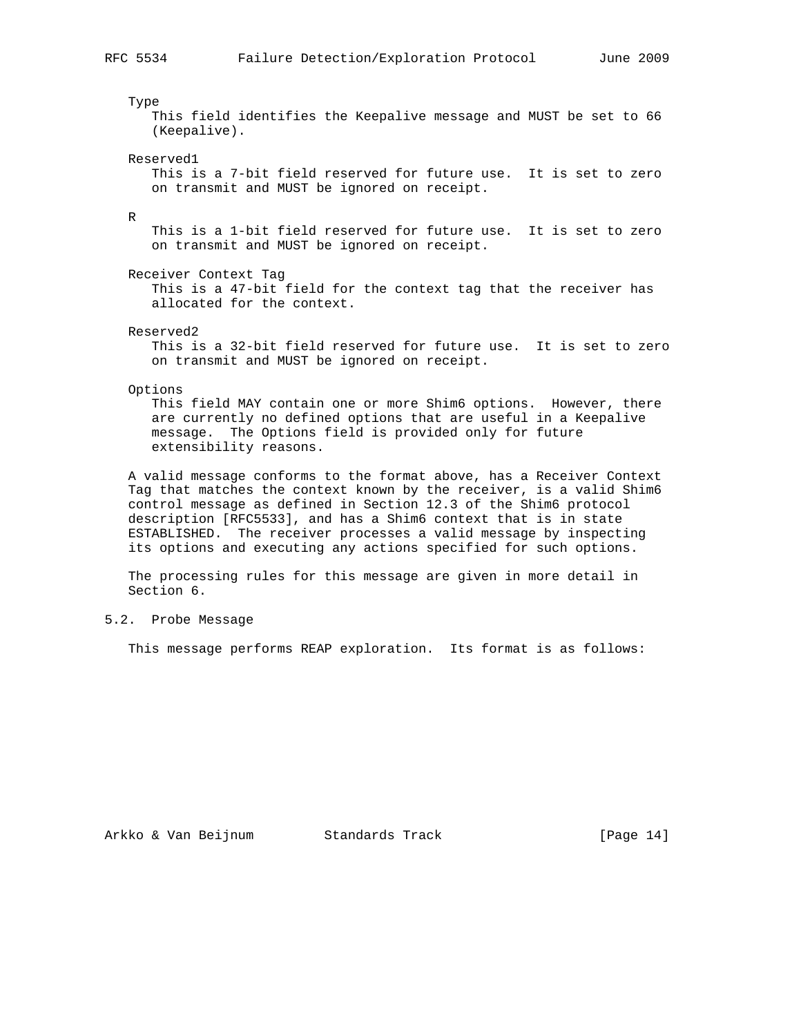Type This field identifies the Keepalive message and MUST be set to 66 (Keepalive). Reserved1 This is a 7-bit field reserved for future use. It is set to zero on transmit and MUST be ignored on receipt. R This is a 1-bit field reserved for future use. It is set to zero on transmit and MUST be ignored on receipt. Receiver Context Tag This is a 47-bit field for the context tag that the receiver has allocated for the context. Reserved2 This is a 32-bit field reserved for future use. It is set to zero on transmit and MUST be ignored on receipt. Options This field MAY contain one or more Shim6 options. However, there are currently no defined options that are useful in a Keepalive message. The Options field is provided only for future extensibility reasons. A valid message conforms to the format above, has a Receiver Context Tag that matches the context known by the receiver, is a valid Shim6 control message as defined in Section 12.3 of the Shim6 protocol description [RFC5533], and has a Shim6 context that is in state ESTABLISHED. The receiver processes a valid message by inspecting

 The processing rules for this message are given in more detail in Section 6.

its options and executing any actions specified for such options.

# 5.2. Probe Message

This message performs REAP exploration. Its format is as follows: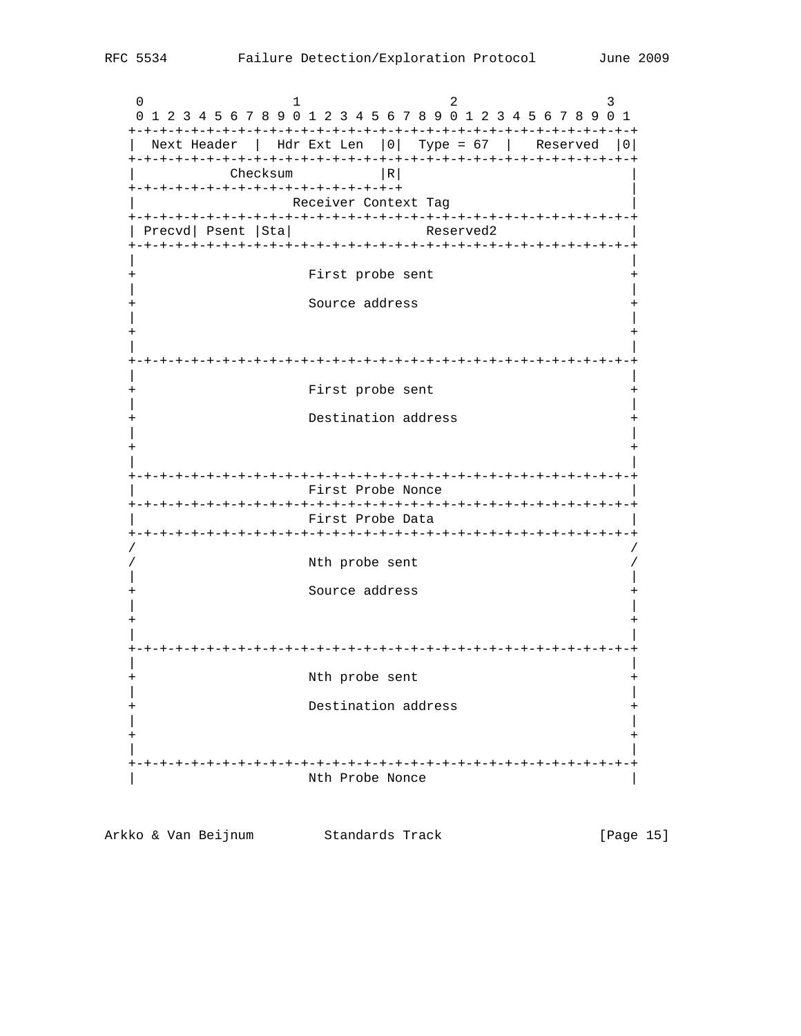0  $1$  2 3 0 1 2 3 4 5 6 7 8 9 0 1 2 3 4 5 6 7 8 9 0 1 2 3 4 5 6 7 8 9 0 1 +-+-+-+-+-+-+-+-+-+-+-+-+-+-+-+-+-+-+-+-+-+-+-+-+-+-+-+-+-+-+-+-+ | Next Header | Hdr Ext Len |0| Type = 67 | Reserved |0| +-+-+-+-+-+-+-+-+-+-+-+-+-+-+-+-+-+-+-+-+-+-+-+-+-+-+-+-+-+-+-+-+  $Checksum$  |R| +-+-+-+-+-+-+-+-+-+-+-+-+-+-+-+-+-+ | Receiver Context Tag +-+-+-+-+-+-+-+-+-+-+-+-+-+-+-+-+-+-+-+-+-+-+-+-+-+-+-+-+-+-+-+-+ | Precvd| Psent | Sta | Reserved2 +-+-+-+-+-+-+-+-+-+-+-+-+-+-+-+-+-+-+-+-+-+-+-+-+-+-+-+-+-+-+-+-+ | | First probe sent | | Source address | | + + | | +-+-+-+-+-+-+-+-+-+-+-+-+-+-+-+-+-+-+-+-+-+-+-+-+-+-+-+-+-+-+-+-+ | | First probe sent | | Destination address | | + + | | +-+-+-+-+-+-+-+-+-+-+-+-+-+-+-+-+-+-+-+-+-+-+-+-+-+-+-+-+-+-+-+-+ First Probe Nonce +-+-+-+-+-+-+-+-+-+-+-+-+-+-+-+-+-+-+-+-+-+-+-+-+-+-+-+-+-+-+-+-+ | First Probe Data | +-+-+-+-+-+-+-+-+-+-+-+-+-+-+-+-+-+-+-+-+-+-+-+-+-+-+-+-+-+-+-+-+ / / Nth probe sent | | Source address | | + + | | +-+-+-+-+-+-+-+-+-+-+-+-+-+-+-+-+-+-+-+-+-+-+-+-+-+-+-+-+-+-+-+-+ | | Nth probe sent | | Destination address + | | + + | | +-+-+-+-+-+-+-+-+-+-+-+-+-+-+-+-+-+-+-+-+-+-+-+-+-+-+-+-+-+-+-+-+ Nth Probe Nonce

Arkko & Van Beijnum Standards Track [Page 15]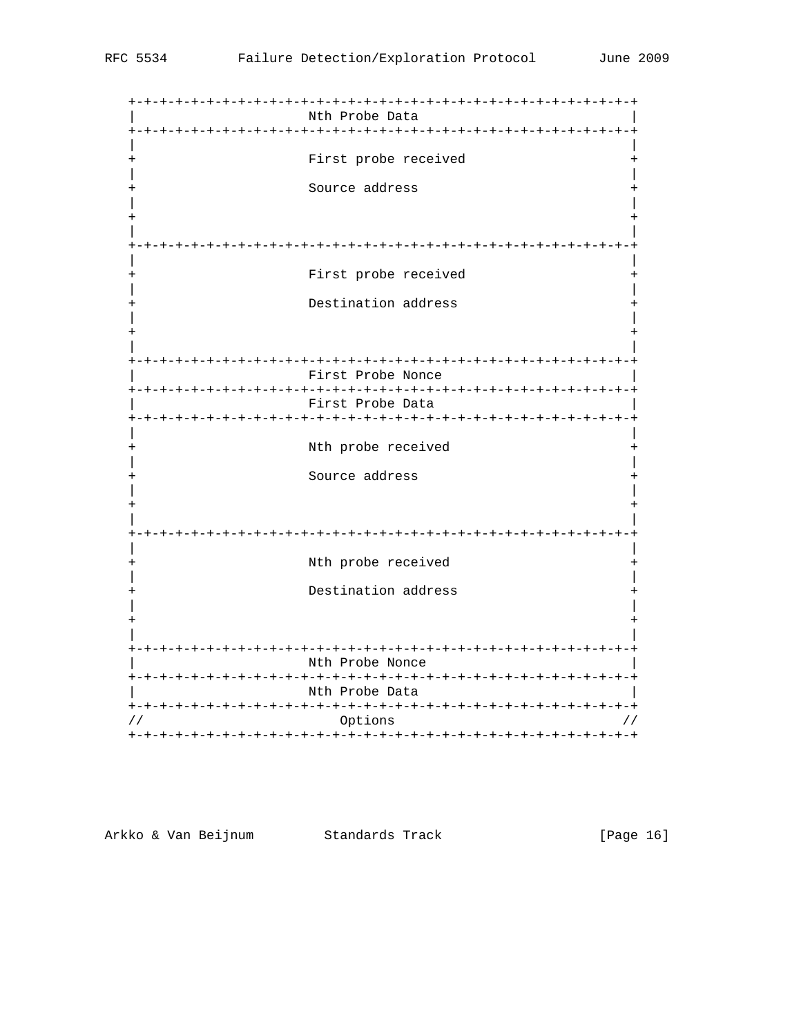| Nth Probe Data<br>-+-+-+-+-+-+-+-+-+-+-<br>$-+ - + - + - +$ |
|-------------------------------------------------------------|
| First probe received                                        |
| Source address                                              |
|                                                             |
| First probe received                                        |
| Destination address                                         |
| -+-+-+-+-+-+-+-+-+-+<br>-+-+-+-+-+                          |
| First Probe Nonce<br>-+-+-+-+-+-+-+-+-+-+-+-+-+             |
| First Probe Data                                            |
| Nth probe received                                          |
| Source address                                              |
|                                                             |
| Nth probe received                                          |
| Destination address                                         |
|                                                             |
| -+-+-+-+-+-+-+-+-+-+-+-+-<br>Nth Probe Nonce                |
| Nth Probe Data                                              |
| Options                                                     |

Arkko & Van Beijnum (Standards Track Markko & Van Beijnum)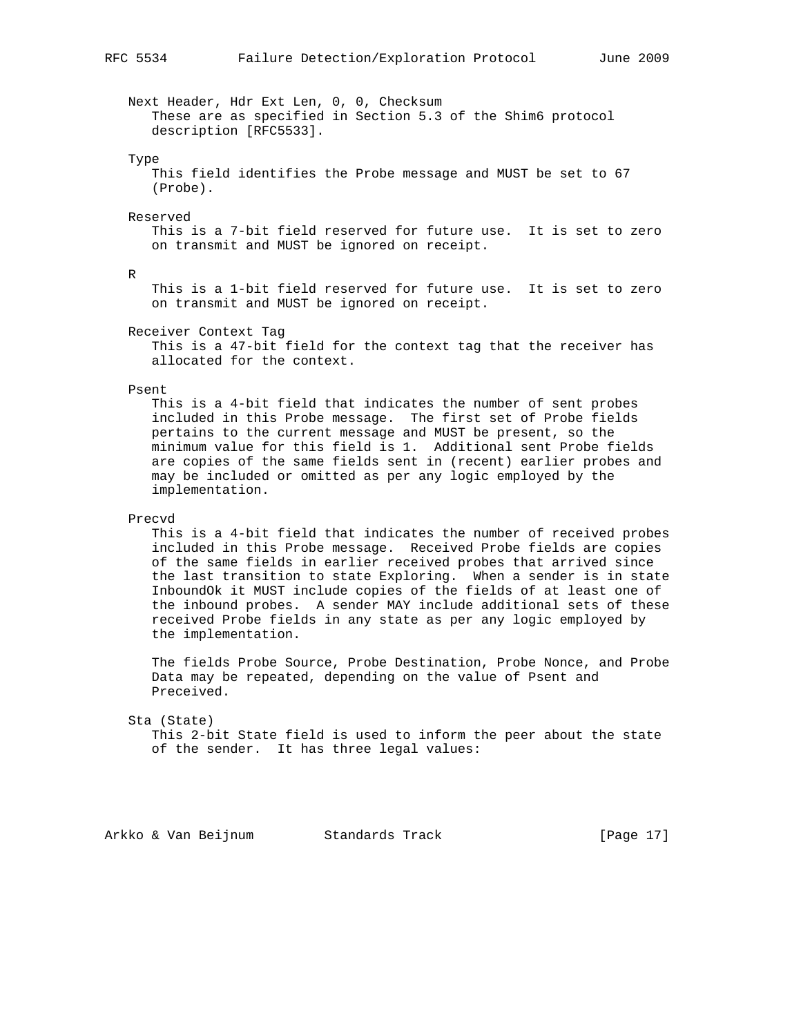Next Header, Hdr Ext Len, 0, 0, Checksum These are as specified in Section 5.3 of the Shim6 protocol description [RFC5533].

#### Type

 This field identifies the Probe message and MUST be set to 67 (Probe).

#### Reserved

 This is a 7-bit field reserved for future use. It is set to zero on transmit and MUST be ignored on receipt.

R

 This is a 1-bit field reserved for future use. It is set to zero on transmit and MUST be ignored on receipt.

Receiver Context Tag

 This is a 47-bit field for the context tag that the receiver has allocated for the context.

#### Psent

 This is a 4-bit field that indicates the number of sent probes included in this Probe message. The first set of Probe fields pertains to the current message and MUST be present, so the minimum value for this field is 1. Additional sent Probe fields are copies of the same fields sent in (recent) earlier probes and may be included or omitted as per any logic employed by the implementation.

### Precvd

 This is a 4-bit field that indicates the number of received probes included in this Probe message. Received Probe fields are copies of the same fields in earlier received probes that arrived since the last transition to state Exploring. When a sender is in state InboundOk it MUST include copies of the fields of at least one of the inbound probes. A sender MAY include additional sets of these received Probe fields in any state as per any logic employed by the implementation.

 The fields Probe Source, Probe Destination, Probe Nonce, and Probe Data may be repeated, depending on the value of Psent and Preceived.

#### Sta (State)

 This 2-bit State field is used to inform the peer about the state of the sender. It has three legal values:

Arkko & Van Beijnum Standards Track [Page 17]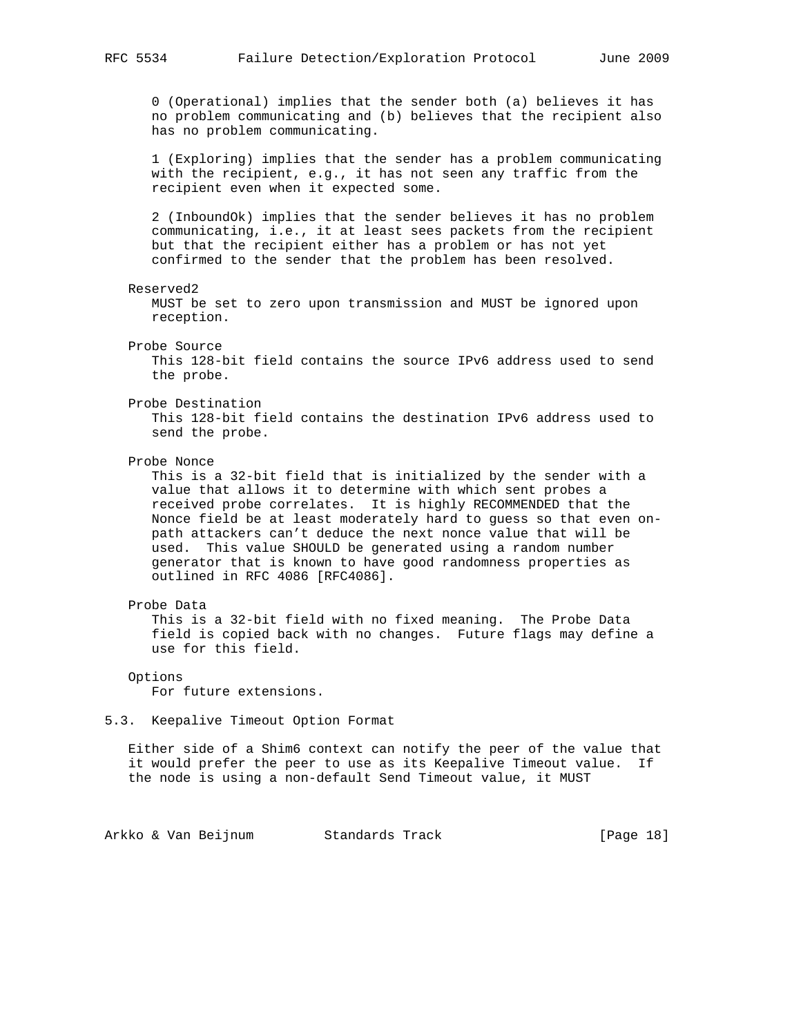0 (Operational) implies that the sender both (a) believes it has no problem communicating and (b) believes that the recipient also has no problem communicating.

 1 (Exploring) implies that the sender has a problem communicating with the recipient, e.g., it has not seen any traffic from the recipient even when it expected some.

 2 (InboundOk) implies that the sender believes it has no problem communicating, i.e., it at least sees packets from the recipient but that the recipient either has a problem or has not yet confirmed to the sender that the problem has been resolved.

#### Reserved2

 MUST be set to zero upon transmission and MUST be ignored upon reception.

#### Probe Source

 This 128-bit field contains the source IPv6 address used to send the probe.

#### Probe Destination

 This 128-bit field contains the destination IPv6 address used to send the probe.

### Probe Nonce

 This is a 32-bit field that is initialized by the sender with a value that allows it to determine with which sent probes a received probe correlates. It is highly RECOMMENDED that the Nonce field be at least moderately hard to guess so that even on path attackers can't deduce the next nonce value that will be used. This value SHOULD be generated using a random number generator that is known to have good randomness properties as outlined in RFC 4086 [RFC4086].

### Probe Data

 This is a 32-bit field with no fixed meaning. The Probe Data field is copied back with no changes. Future flags may define a use for this field.

 Options For future extensions.

### 5.3. Keepalive Timeout Option Format

 Either side of a Shim6 context can notify the peer of the value that it would prefer the peer to use as its Keepalive Timeout value. If the node is using a non-default Send Timeout value, it MUST

Arkko & Van Beijnum Standards Track [Page 18]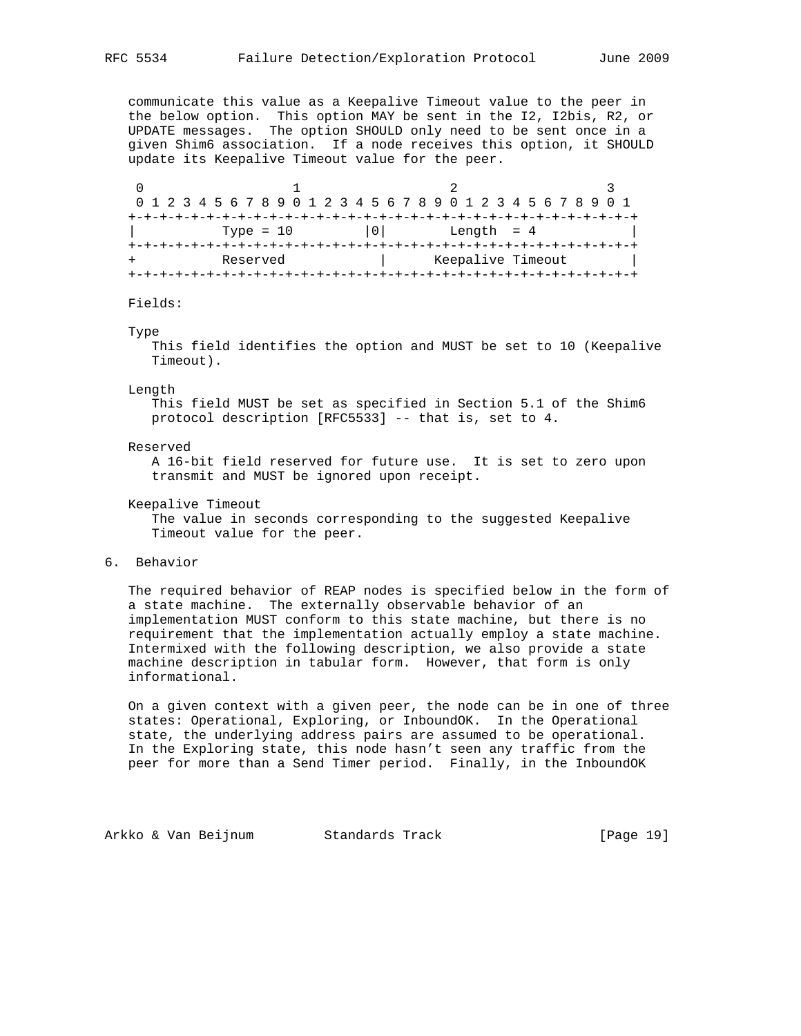communicate this value as a Keepalive Timeout value to the peer in the below option. This option MAY be sent in the I2, I2bis, R2, or UPDATE messages. The option SHOULD only need to be sent once in a given Shim6 association. If a node receives this option, it SHOULD update its Keepalive Timeout value for the peer.

|             | 0 1 2 3 4 5 6 7 8 9 0 1 2 3 4 5 6 7 8 9 0 1 2 3 4 5 6 7 8 9 0 1 |  |
|-------------|-----------------------------------------------------------------|--|
|             |                                                                 |  |
| Type = $10$ | Length = $4$<br>101                                             |  |
|             |                                                                 |  |
| Reserved    | Keepalive Timeout                                               |  |
|             |                                                                 |  |

Fields:

#### Type

 This field identifies the option and MUST be set to 10 (Keepalive Timeout).

Length

 This field MUST be set as specified in Section 5.1 of the Shim6 protocol description [RFC5533] -- that is, set to 4.

#### Reserved

 A 16-bit field reserved for future use. It is set to zero upon transmit and MUST be ignored upon receipt.

Keepalive Timeout

 The value in seconds corresponding to the suggested Keepalive Timeout value for the peer.

6. Behavior

 The required behavior of REAP nodes is specified below in the form of a state machine. The externally observable behavior of an implementation MUST conform to this state machine, but there is no requirement that the implementation actually employ a state machine. Intermixed with the following description, we also provide a state machine description in tabular form. However, that form is only informational.

 On a given context with a given peer, the node can be in one of three states: Operational, Exploring, or InboundOK. In the Operational state, the underlying address pairs are assumed to be operational. In the Exploring state, this node hasn't seen any traffic from the peer for more than a Send Timer period. Finally, in the InboundOK

Arkko & Van Beijnum Standards Track [Page 19]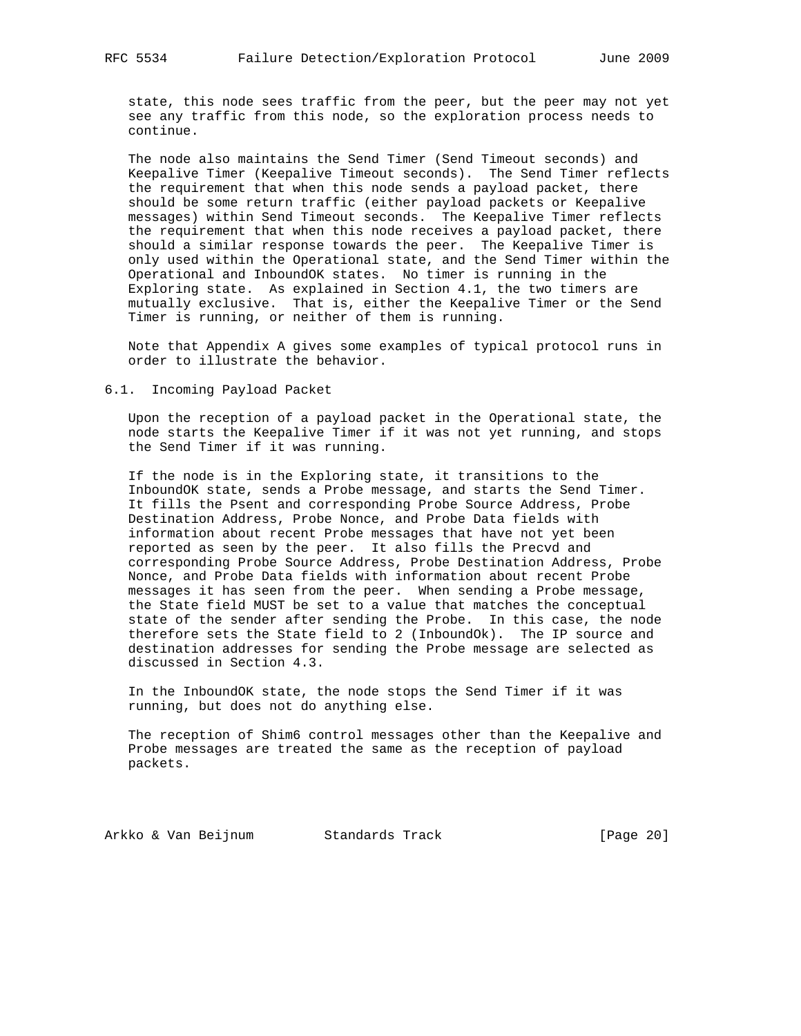state, this node sees traffic from the peer, but the peer may not yet see any traffic from this node, so the exploration process needs to continue.

 The node also maintains the Send Timer (Send Timeout seconds) and Keepalive Timer (Keepalive Timeout seconds). The Send Timer reflects the requirement that when this node sends a payload packet, there should be some return traffic (either payload packets or Keepalive messages) within Send Timeout seconds. The Keepalive Timer reflects the requirement that when this node receives a payload packet, there should a similar response towards the peer. The Keepalive Timer is only used within the Operational state, and the Send Timer within the Operational and InboundOK states. No timer is running in the Exploring state. As explained in Section 4.1, the two timers are mutually exclusive. That is, either the Keepalive Timer or the Send Timer is running, or neither of them is running.

 Note that Appendix A gives some examples of typical protocol runs in order to illustrate the behavior.

### 6.1. Incoming Payload Packet

 Upon the reception of a payload packet in the Operational state, the node starts the Keepalive Timer if it was not yet running, and stops the Send Timer if it was running.

 If the node is in the Exploring state, it transitions to the InboundOK state, sends a Probe message, and starts the Send Timer. It fills the Psent and corresponding Probe Source Address, Probe Destination Address, Probe Nonce, and Probe Data fields with information about recent Probe messages that have not yet been reported as seen by the peer. It also fills the Precvd and corresponding Probe Source Address, Probe Destination Address, Probe Nonce, and Probe Data fields with information about recent Probe messages it has seen from the peer. When sending a Probe message, the State field MUST be set to a value that matches the conceptual state of the sender after sending the Probe. In this case, the node therefore sets the State field to 2 (InboundOk). The IP source and destination addresses for sending the Probe message are selected as discussed in Section 4.3.

 In the InboundOK state, the node stops the Send Timer if it was running, but does not do anything else.

 The reception of Shim6 control messages other than the Keepalive and Probe messages are treated the same as the reception of payload packets.

Arkko & Van Beijnum Standards Track [Page 20]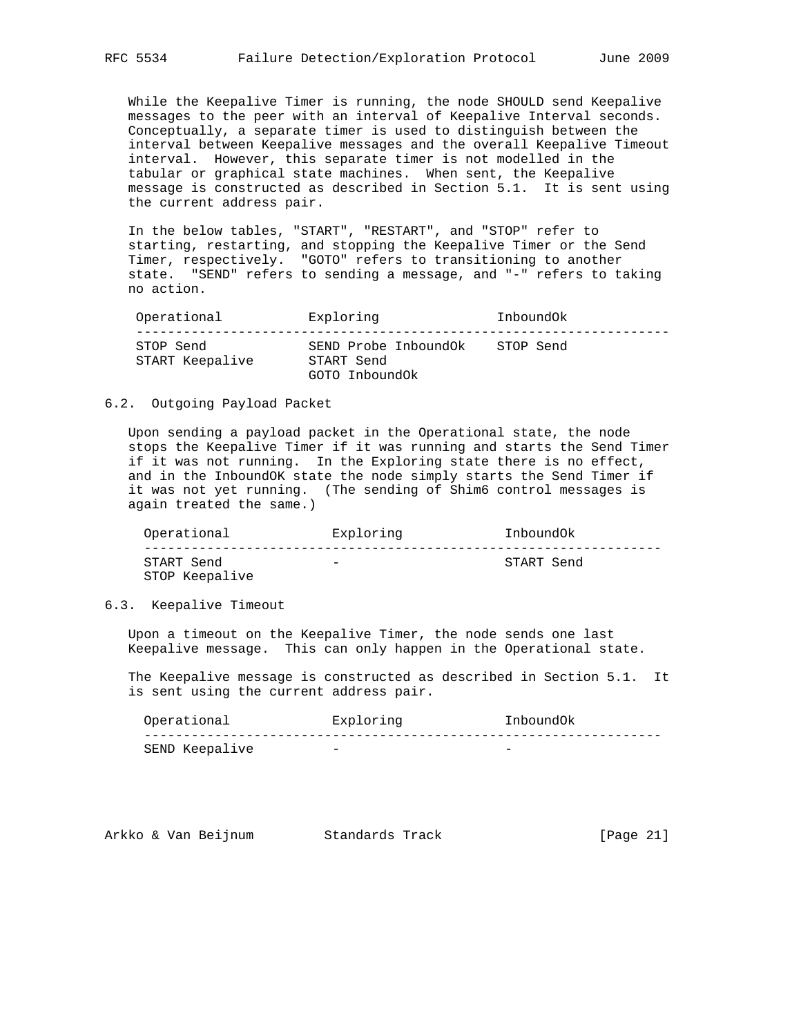While the Keepalive Timer is running, the node SHOULD send Keepalive messages to the peer with an interval of Keepalive Interval seconds. Conceptually, a separate timer is used to distinguish between the interval between Keepalive messages and the overall Keepalive Timeout interval. However, this separate timer is not modelled in the tabular or graphical state machines. When sent, the Keepalive message is constructed as described in Section 5.1. It is sent using the current address pair.

 In the below tables, "START", "RESTART", and "STOP" refer to starting, restarting, and stopping the Keepalive Timer or the Send Timer, respectively. "GOTO" refers to transitioning to another state. "SEND" refers to sending a message, and "-" refers to taking no action.

| Operational                  | Exploring                                            | Inbound0k |
|------------------------------|------------------------------------------------------|-----------|
| STOP Send<br>START Keepalive | SEND Probe InboundOk<br>START Send<br>GOTO InboundOk | STOP Send |

### 6.2. Outgoing Payload Packet

 Upon sending a payload packet in the Operational state, the node stops the Keepalive Timer if it was running and starts the Send Timer if it was not running. In the Exploring state there is no effect, and in the InboundOK state the node simply starts the Send Timer if it was not yet running. (The sending of Shim6 control messages is again treated the same.)

 Operational Exploring InboundOk ------------------------------------------------------------------ START Send - START Send STOP Keepalive

6.3. Keepalive Timeout

 Upon a timeout on the Keepalive Timer, the node sends one last Keepalive message. This can only happen in the Operational state.

 The Keepalive message is constructed as described in Section 5.1. It is sent using the current address pair.

| Operational         | Exploring                | Inbound0k                |
|---------------------|--------------------------|--------------------------|
|                     |                          |                          |
| ' Keepalive<br>SEND | $\overline{\phantom{a}}$ | $\overline{\phantom{a}}$ |

| Arkko & Van Beijnum<br>Standards Track | [Page 21] |
|----------------------------------------|-----------|
|----------------------------------------|-----------|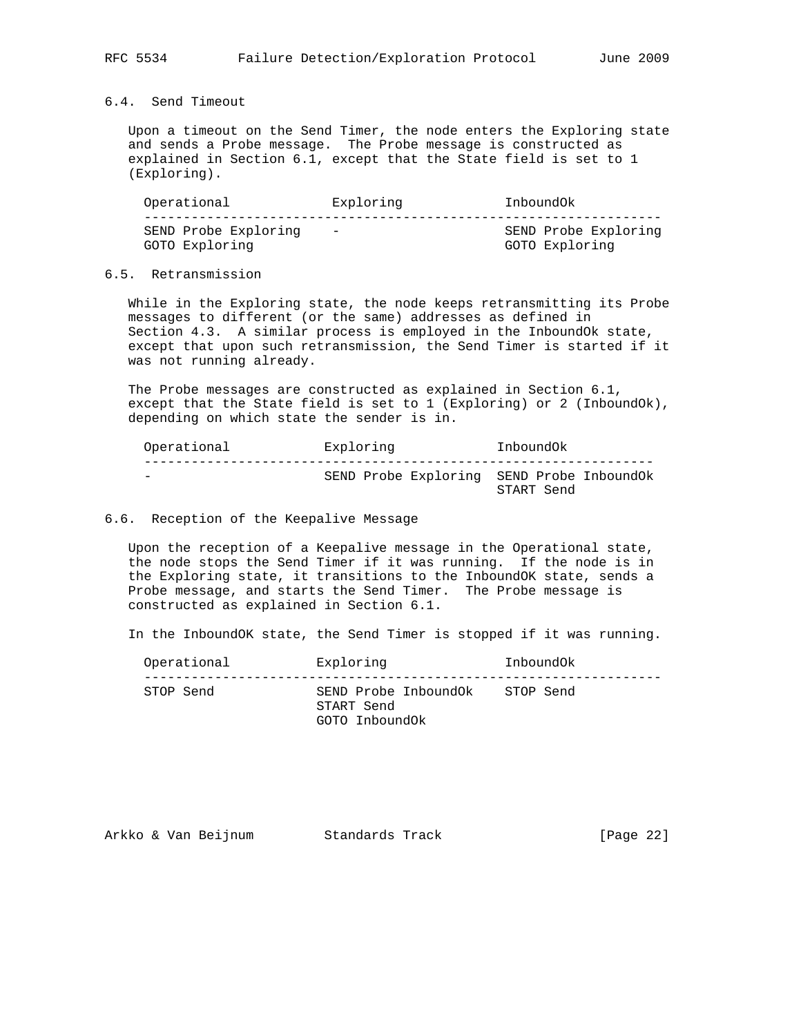## 6.4. Send Timeout

 Upon a timeout on the Send Timer, the node enters the Exploring state and sends a Probe message. The Probe message is constructed as explained in Section 6.1, except that the State field is set to 1 (Exploring).

| Operational                            | Exploring  | Inbound0k                              |
|----------------------------------------|------------|----------------------------------------|
| SEND Probe Exploring<br>GOTO Exploring | $\sim$ $-$ | SEND Probe Exploring<br>GOTO Exploring |

## 6.5. Retransmission

 While in the Exploring state, the node keeps retransmitting its Probe messages to different (or the same) addresses as defined in Section 4.3. A similar process is employed in the InboundOk state, except that upon such retransmission, the Send Timer is started if it was not running already.

 The Probe messages are constructed as explained in Section 6.1, except that the State field is set to 1 (Exploring) or 2 (InboundOk), depending on which state the sender is in.

| Operational              | Exploring | Inbound0k                                               |  |
|--------------------------|-----------|---------------------------------------------------------|--|
| $\overline{\phantom{0}}$ |           | SEND Probe Exploring SEND Probe InboundOk<br>START Send |  |

### 6.6. Reception of the Keepalive Message

 Upon the reception of a Keepalive message in the Operational state, the node stops the Send Timer if it was running. If the node is in the Exploring state, it transitions to the InboundOK state, sends a Probe message, and starts the Send Timer. The Probe message is constructed as explained in Section 6.1.

In the InboundOK state, the Send Timer is stopped if it was running.

| Operational | Exploring                                            | Inbound0k |
|-------------|------------------------------------------------------|-----------|
| STOP Send   | SEND Probe InboundOk<br>START Send<br>GOTO InboundOk | STOP Send |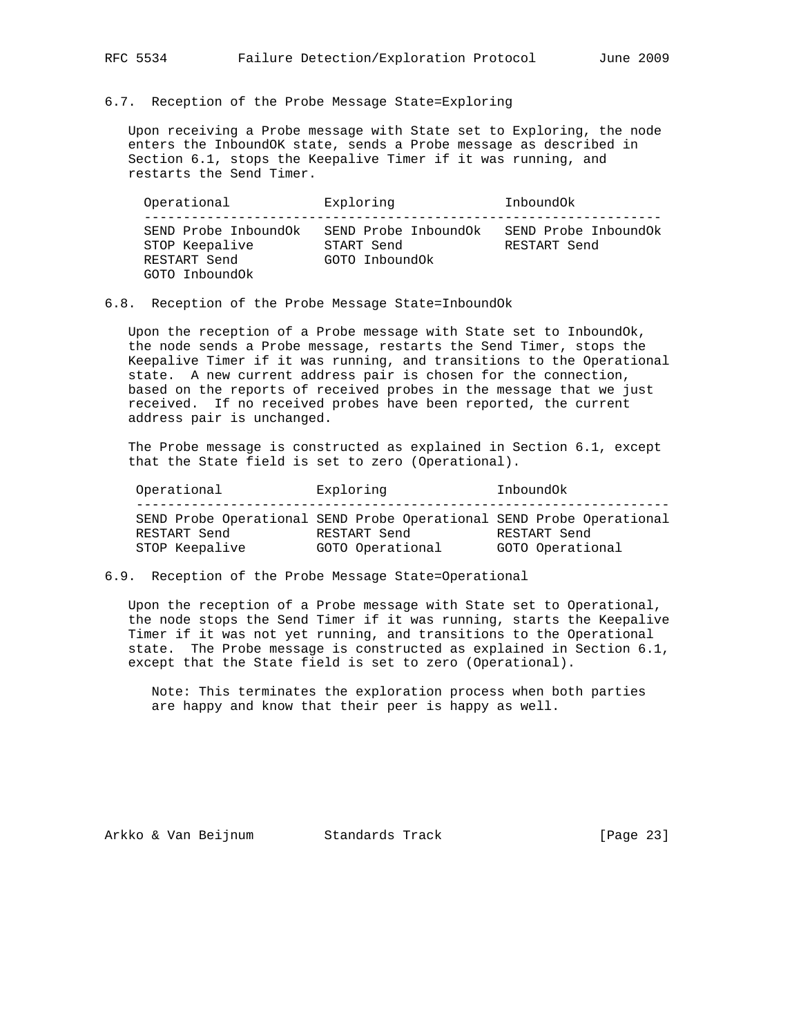### 6.7. Reception of the Probe Message State=Exploring

 Upon receiving a Probe message with State set to Exploring, the node enters the InboundOK state, sends a Probe message as described in Section 6.1, stops the Keepalive Timer if it was running, and restarts the Send Timer.

 Operational Exploring InboundOk ------------------------------------------------------------------ SEND Probe InboundOk SEND Probe InboundOk SEND Probe InboundOk STOP Keepalive START Send RESTART Send RESTART Send GOTO InboundOk GOTO InboundOk

### 6.8. Reception of the Probe Message State=InboundOk

 Upon the reception of a Probe message with State set to InboundOk, the node sends a Probe message, restarts the Send Timer, stops the Keepalive Timer if it was running, and transitions to the Operational state. A new current address pair is chosen for the connection, based on the reports of received probes in the message that we just received. If no received probes have been reported, the current address pair is unchanged.

 The Probe message is constructed as explained in Section 6.1, except that the State field is set to zero (Operational).

| Operational    | Exploring                                                                            | InboundOk        |
|----------------|--------------------------------------------------------------------------------------|------------------|
| RESTART Send   | SEND Probe Operational SEND Probe Operational SEND Probe Operational<br>RESTART Send | RESTART Send     |
| STOP Keepalive | GOTO Operational                                                                     | GOTO Operational |

### 6.9. Reception of the Probe Message State=Operational

 Upon the reception of a Probe message with State set to Operational, the node stops the Send Timer if it was running, starts the Keepalive Timer if it was not yet running, and transitions to the Operational state. The Probe message is constructed as explained in Section 6.1, except that the State field is set to zero (Operational).

 Note: This terminates the exploration process when both parties are happy and know that their peer is happy as well.

Arkko & Van Beijnum Standards Track [Page 23]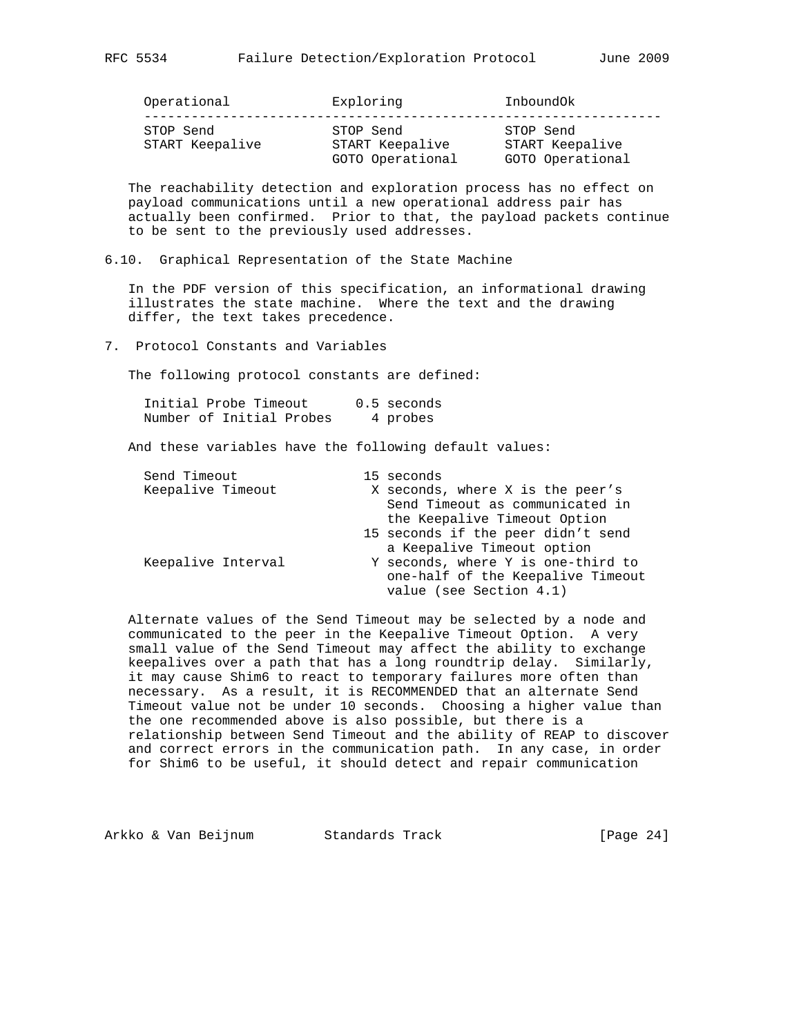| Operational                  | Exploring                                        | Inbound0k                                        |
|------------------------------|--------------------------------------------------|--------------------------------------------------|
| STOP Send<br>START Keepalive | STOP Send<br>START Keepalive<br>GOTO Operational | STOP Send<br>START Keepalive<br>GOTO Operational |

 The reachability detection and exploration process has no effect on payload communications until a new operational address pair has actually been confirmed. Prior to that, the payload packets continue to be sent to the previously used addresses.

6.10. Graphical Representation of the State Machine

 In the PDF version of this specification, an informational drawing illustrates the state machine. Where the text and the drawing differ, the text takes precedence.

7. Protocol Constants and Variables

The following protocol constants are defined:

|  | Initial Probe Timeout    | 0.5 seconds |
|--|--------------------------|-------------|
|  | Number of Initial Probes | 4 probes    |

And these variables have the following default values:

| Send Timeout       |  | 15 seconds                                                                                         |
|--------------------|--|----------------------------------------------------------------------------------------------------|
| Keepalive Timeout  |  | X seconds, where X is the peer's<br>Send Timeout as communicated in                                |
|                    |  | the Keepalive Timeout Option                                                                       |
|                    |  | 15 seconds if the peer didn't send<br>a Keepalive Timeout option                                   |
| Keepalive Interval |  | Y seconds, where Y is one-third to<br>one-half of the Keepalive Timeout<br>value (see Section 4.1) |

 Alternate values of the Send Timeout may be selected by a node and communicated to the peer in the Keepalive Timeout Option. A very small value of the Send Timeout may affect the ability to exchange keepalives over a path that has a long roundtrip delay. Similarly, it may cause Shim6 to react to temporary failures more often than necessary. As a result, it is RECOMMENDED that an alternate Send Timeout value not be under 10 seconds. Choosing a higher value than the one recommended above is also possible, but there is a relationship between Send Timeout and the ability of REAP to discover and correct errors in the communication path. In any case, in order for Shim6 to be useful, it should detect and repair communication

Arkko & Van Beijnum Standards Track [Page 24]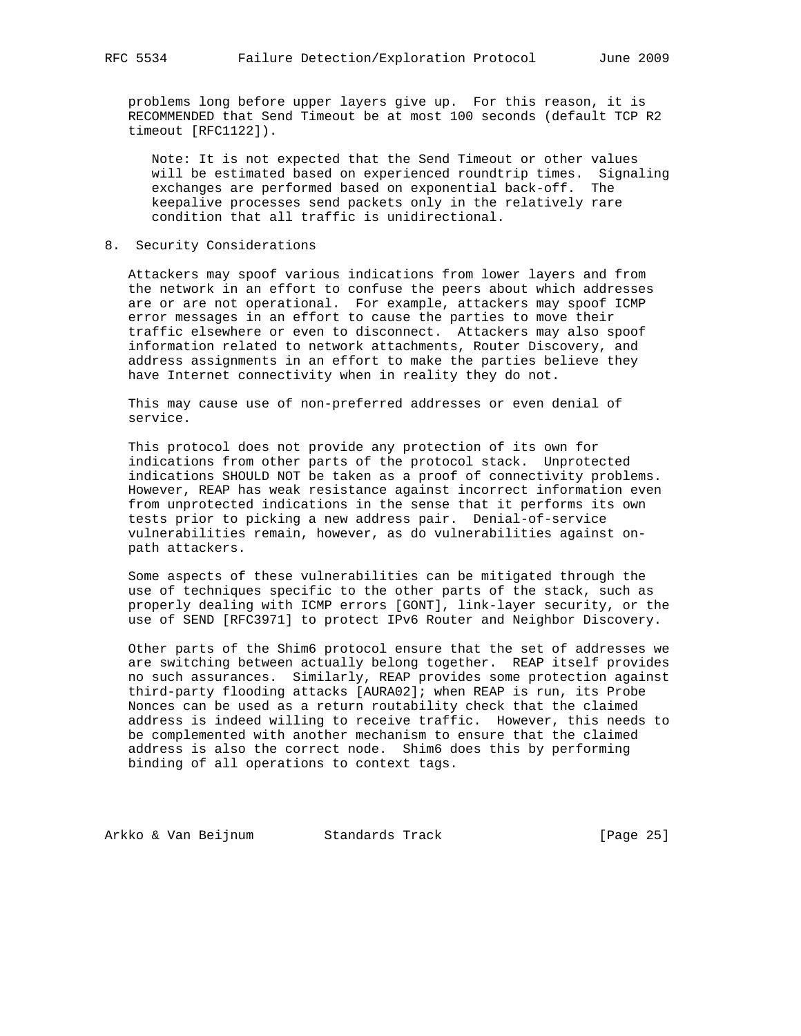problems long before upper layers give up. For this reason, it is RECOMMENDED that Send Timeout be at most 100 seconds (default TCP R2 timeout [RFC1122]).

 Note: It is not expected that the Send Timeout or other values will be estimated based on experienced roundtrip times. Signaling exchanges are performed based on exponential back-off. The keepalive processes send packets only in the relatively rare condition that all traffic is unidirectional.

8. Security Considerations

 Attackers may spoof various indications from lower layers and from the network in an effort to confuse the peers about which addresses are or are not operational. For example, attackers may spoof ICMP error messages in an effort to cause the parties to move their traffic elsewhere or even to disconnect. Attackers may also spoof information related to network attachments, Router Discovery, and address assignments in an effort to make the parties believe they have Internet connectivity when in reality they do not.

 This may cause use of non-preferred addresses or even denial of service.

 This protocol does not provide any protection of its own for indications from other parts of the protocol stack. Unprotected indications SHOULD NOT be taken as a proof of connectivity problems. However, REAP has weak resistance against incorrect information even from unprotected indications in the sense that it performs its own tests prior to picking a new address pair. Denial-of-service vulnerabilities remain, however, as do vulnerabilities against on path attackers.

 Some aspects of these vulnerabilities can be mitigated through the use of techniques specific to the other parts of the stack, such as properly dealing with ICMP errors [GONT], link-layer security, or the use of SEND [RFC3971] to protect IPv6 Router and Neighbor Discovery.

 Other parts of the Shim6 protocol ensure that the set of addresses we are switching between actually belong together. REAP itself provides no such assurances. Similarly, REAP provides some protection against third-party flooding attacks [AURA02]; when REAP is run, its Probe Nonces can be used as a return routability check that the claimed address is indeed willing to receive traffic. However, this needs to be complemented with another mechanism to ensure that the claimed address is also the correct node. Shim6 does this by performing binding of all operations to context tags.

Arkko & Van Beijnum Standards Track [Page 25]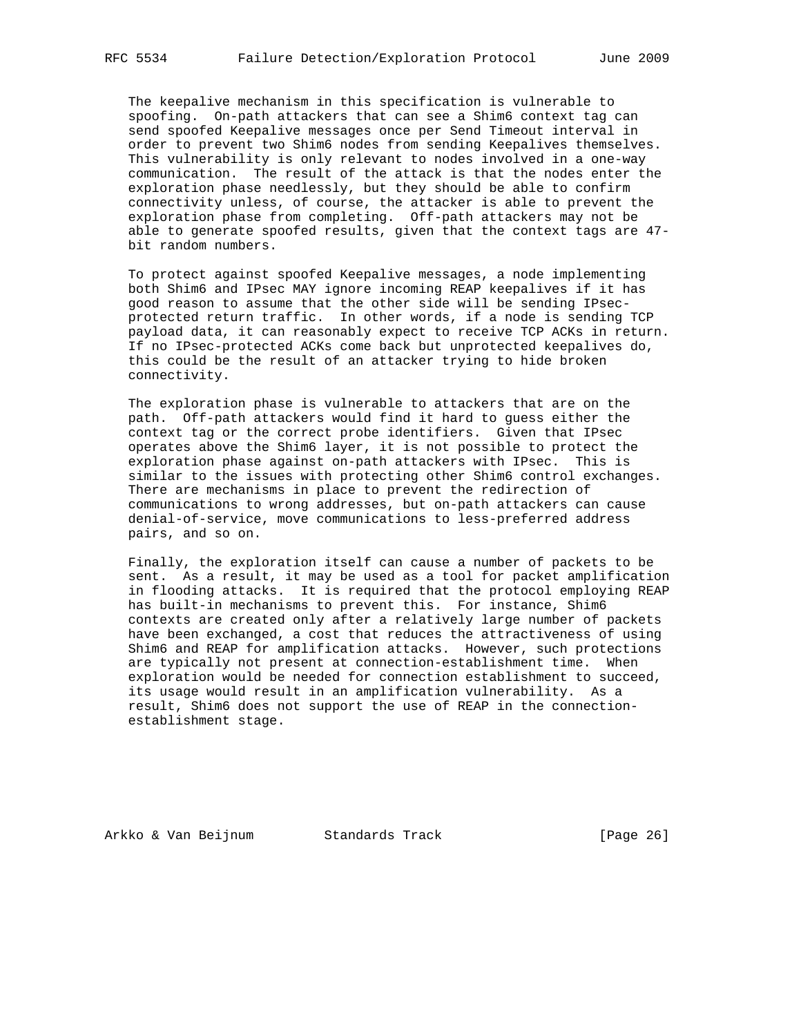The keepalive mechanism in this specification is vulnerable to spoofing. On-path attackers that can see a Shim6 context tag can send spoofed Keepalive messages once per Send Timeout interval in order to prevent two Shim6 nodes from sending Keepalives themselves. This vulnerability is only relevant to nodes involved in a one-way communication. The result of the attack is that the nodes enter the exploration phase needlessly, but they should be able to confirm connectivity unless, of course, the attacker is able to prevent the exploration phase from completing. Off-path attackers may not be able to generate spoofed results, given that the context tags are 47 bit random numbers.

 To protect against spoofed Keepalive messages, a node implementing both Shim6 and IPsec MAY ignore incoming REAP keepalives if it has good reason to assume that the other side will be sending IPsec protected return traffic. In other words, if a node is sending TCP payload data, it can reasonably expect to receive TCP ACKs in return. If no IPsec-protected ACKs come back but unprotected keepalives do, this could be the result of an attacker trying to hide broken connectivity.

 The exploration phase is vulnerable to attackers that are on the path. Off-path attackers would find it hard to guess either the context tag or the correct probe identifiers. Given that IPsec operates above the Shim6 layer, it is not possible to protect the exploration phase against on-path attackers with IPsec. This is similar to the issues with protecting other Shim6 control exchanges. There are mechanisms in place to prevent the redirection of communications to wrong addresses, but on-path attackers can cause denial-of-service, move communications to less-preferred address pairs, and so on.

 Finally, the exploration itself can cause a number of packets to be sent. As a result, it may be used as a tool for packet amplification in flooding attacks. It is required that the protocol employing REAP has built-in mechanisms to prevent this. For instance, Shim6 contexts are created only after a relatively large number of packets have been exchanged, a cost that reduces the attractiveness of using Shim6 and REAP for amplification attacks. However, such protections are typically not present at connection-establishment time. When exploration would be needed for connection establishment to succeed, its usage would result in an amplification vulnerability. As a result, Shim6 does not support the use of REAP in the connection establishment stage.

Arkko & Van Beijnum Standards Track [Page 26]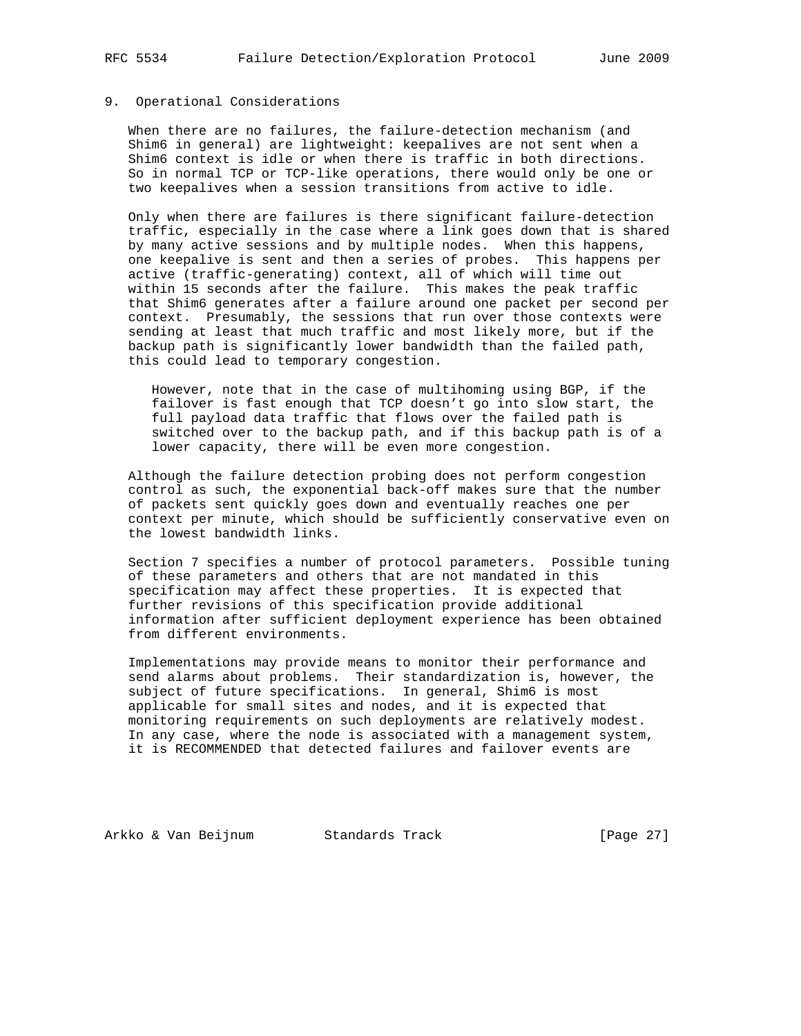## 9. Operational Considerations

 When there are no failures, the failure-detection mechanism (and Shim6 in general) are lightweight: keepalives are not sent when a Shim6 context is idle or when there is traffic in both directions. So in normal TCP or TCP-like operations, there would only be one or two keepalives when a session transitions from active to idle.

 Only when there are failures is there significant failure-detection traffic, especially in the case where a link goes down that is shared by many active sessions and by multiple nodes. When this happens, one keepalive is sent and then a series of probes. This happens per active (traffic-generating) context, all of which will time out within 15 seconds after the failure. This makes the peak traffic that Shim6 generates after a failure around one packet per second per context. Presumably, the sessions that run over those contexts were sending at least that much traffic and most likely more, but if the backup path is significantly lower bandwidth than the failed path, this could lead to temporary congestion.

 However, note that in the case of multihoming using BGP, if the failover is fast enough that TCP doesn't go into slow start, the full payload data traffic that flows over the failed path is switched over to the backup path, and if this backup path is of a lower capacity, there will be even more congestion.

 Although the failure detection probing does not perform congestion control as such, the exponential back-off makes sure that the number of packets sent quickly goes down and eventually reaches one per context per minute, which should be sufficiently conservative even on the lowest bandwidth links.

 Section 7 specifies a number of protocol parameters. Possible tuning of these parameters and others that are not mandated in this specification may affect these properties. It is expected that further revisions of this specification provide additional information after sufficient deployment experience has been obtained from different environments.

 Implementations may provide means to monitor their performance and send alarms about problems. Their standardization is, however, the subject of future specifications. In general, Shim6 is most applicable for small sites and nodes, and it is expected that monitoring requirements on such deployments are relatively modest. In any case, where the node is associated with a management system, it is RECOMMENDED that detected failures and failover events are

Arkko & Van Beijnum Standards Track [Page 27]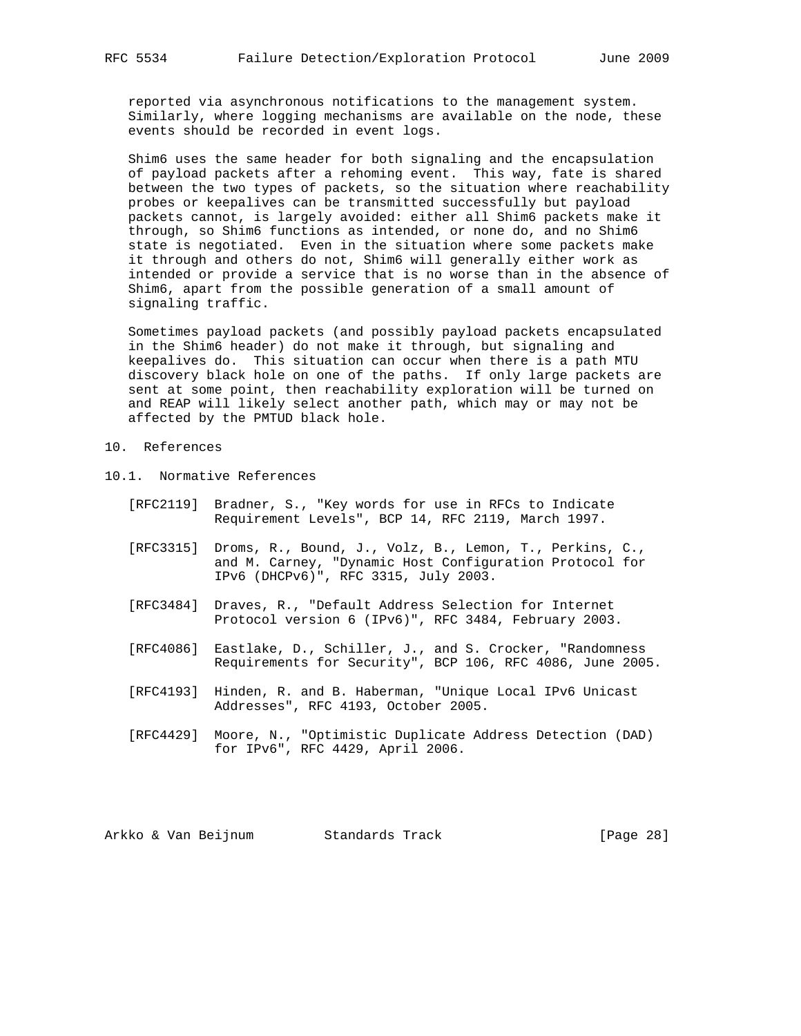reported via asynchronous notifications to the management system. Similarly, where logging mechanisms are available on the node, these events should be recorded in event logs.

 Shim6 uses the same header for both signaling and the encapsulation of payload packets after a rehoming event. This way, fate is shared between the two types of packets, so the situation where reachability probes or keepalives can be transmitted successfully but payload packets cannot, is largely avoided: either all Shim6 packets make it through, so Shim6 functions as intended, or none do, and no Shim6 state is negotiated. Even in the situation where some packets make it through and others do not, Shim6 will generally either work as intended or provide a service that is no worse than in the absence of Shim6, apart from the possible generation of a small amount of signaling traffic.

 Sometimes payload packets (and possibly payload packets encapsulated in the Shim6 header) do not make it through, but signaling and keepalives do. This situation can occur when there is a path MTU discovery black hole on one of the paths. If only large packets are sent at some point, then reachability exploration will be turned on and REAP will likely select another path, which may or may not be affected by the PMTUD black hole.

- 10. References
- 10.1. Normative References
	- [RFC2119] Bradner, S., "Key words for use in RFCs to Indicate Requirement Levels", BCP 14, RFC 2119, March 1997.
	- [RFC3315] Droms, R., Bound, J., Volz, B., Lemon, T., Perkins, C., and M. Carney, "Dynamic Host Configuration Protocol for IPv6 (DHCPv6)", RFC 3315, July 2003.
	- [RFC3484] Draves, R., "Default Address Selection for Internet Protocol version 6 (IPv6)", RFC 3484, February 2003.
	- [RFC4086] Eastlake, D., Schiller, J., and S. Crocker, "Randomness Requirements for Security", BCP 106, RFC 4086, June 2005.
	- [RFC4193] Hinden, R. and B. Haberman, "Unique Local IPv6 Unicast Addresses", RFC 4193, October 2005.
	- [RFC4429] Moore, N., "Optimistic Duplicate Address Detection (DAD) for IPv6", RFC 4429, April 2006.

Arkko & Van Beijnum Standards Track [Page 28]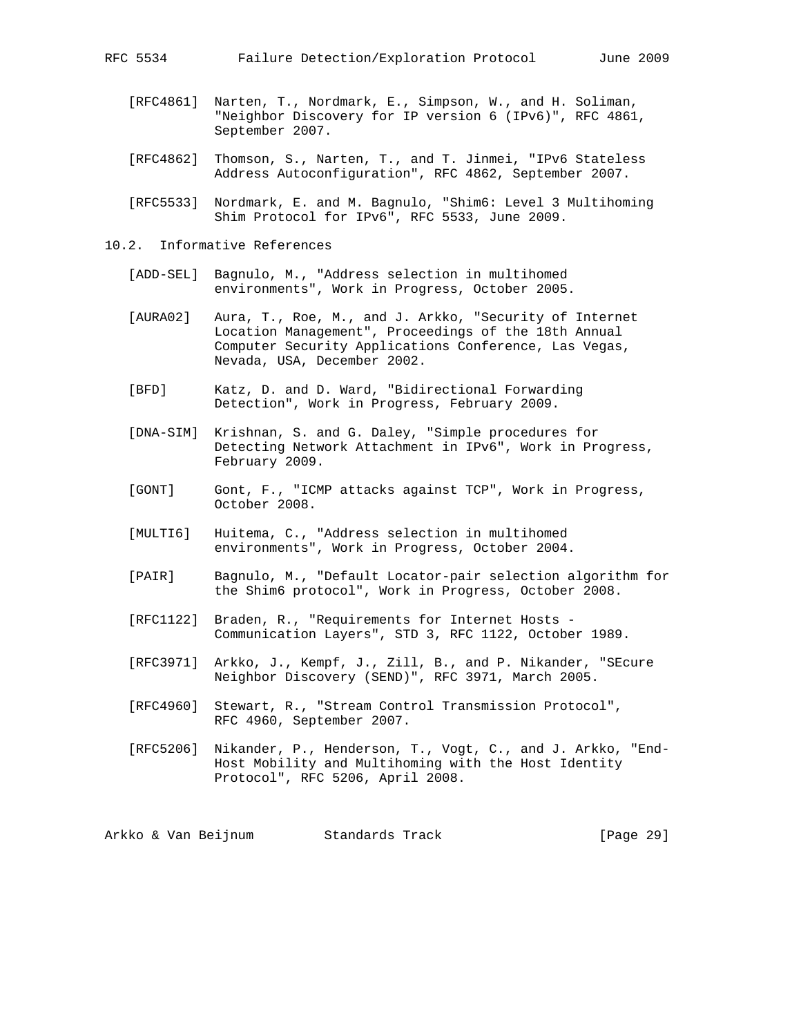- [RFC4861] Narten, T., Nordmark, E., Simpson, W., and H. Soliman, "Neighbor Discovery for IP version 6 (IPv6)", RFC 4861, September 2007.
- [RFC4862] Thomson, S., Narten, T., and T. Jinmei, "IPv6 Stateless Address Autoconfiguration", RFC 4862, September 2007.
- [RFC5533] Nordmark, E. and M. Bagnulo, "Shim6: Level 3 Multihoming Shim Protocol for IPv6", RFC 5533, June 2009.
- 10.2. Informative References
	- [ADD-SEL] Bagnulo, M., "Address selection in multihomed environments", Work in Progress, October 2005.
	- [AURA02] Aura, T., Roe, M., and J. Arkko, "Security of Internet Location Management", Proceedings of the 18th Annual Computer Security Applications Conference, Las Vegas, Nevada, USA, December 2002.
	- [BFD] Katz, D. and D. Ward, "Bidirectional Forwarding Detection", Work in Progress, February 2009.
	- [DNA-SIM] Krishnan, S. and G. Daley, "Simple procedures for Detecting Network Attachment in IPv6", Work in Progress, February 2009.
	- [GONT] Gont, F., "ICMP attacks against TCP", Work in Progress, October 2008.
	- [MULTI6] Huitema, C., "Address selection in multihomed environments", Work in Progress, October 2004.
	- [PAIR] Bagnulo, M., "Default Locator-pair selection algorithm for the Shim6 protocol", Work in Progress, October 2008.
	- [RFC1122] Braden, R., "Requirements for Internet Hosts Communication Layers", STD 3, RFC 1122, October 1989.
	- [RFC3971] Arkko, J., Kempf, J., Zill, B., and P. Nikander, "SEcure Neighbor Discovery (SEND)", RFC 3971, March 2005.
	- [RFC4960] Stewart, R., "Stream Control Transmission Protocol", RFC 4960, September 2007.
	- [RFC5206] Nikander, P., Henderson, T., Vogt, C., and J. Arkko, "End- Host Mobility and Multihoming with the Host Identity Protocol", RFC 5206, April 2008.

Arkko & Van Beijnum Standards Track [Page 29]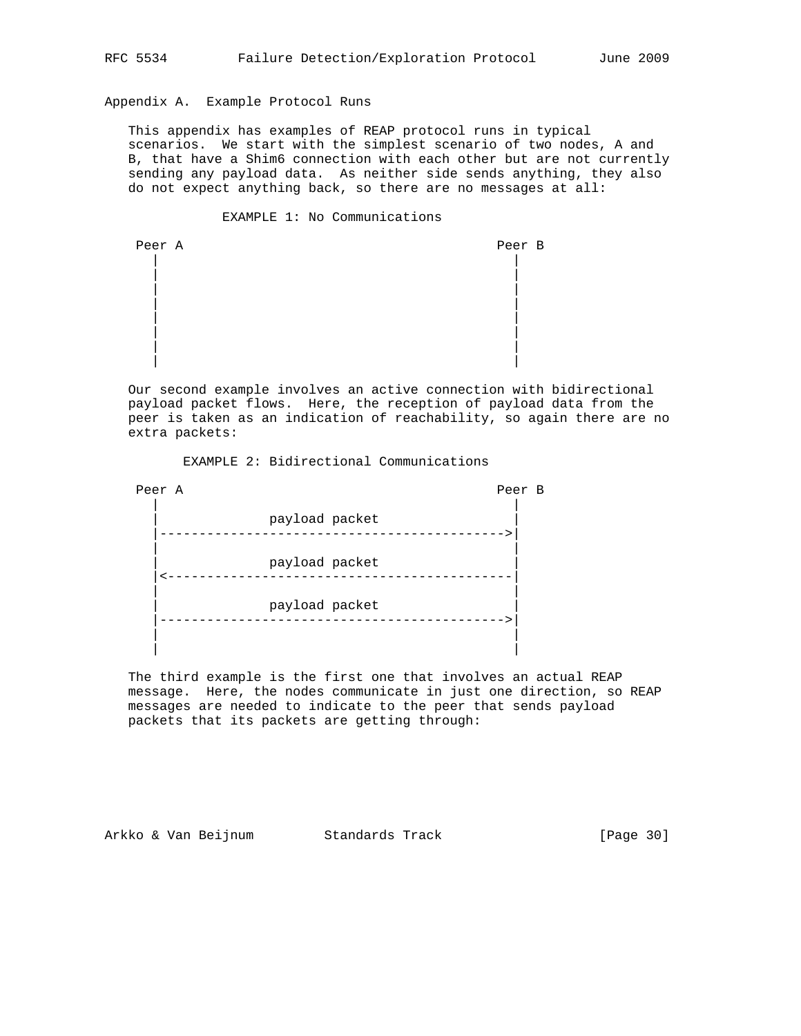# Appendix A. Example Protocol Runs

 This appendix has examples of REAP protocol runs in typical scenarios. We start with the simplest scenario of two nodes, A and B, that have a Shim6 connection with each other but are not currently sending any payload data. As neither side sends anything, they also do not expect anything back, so there are no messages at all:

### EXAMPLE 1: No Communications

| Peer A | Peer B |
|--------|--------|
|        |        |
|        |        |
|        |        |
|        |        |
|        |        |
|        |        |
|        |        |

 Our second example involves an active connection with bidirectional payload packet flows. Here, the reception of payload data from the peer is taken as an indication of reachability, so again there are no extra packets:

EXAMPLE 2: Bidirectional Communications

| Peer A         | Peer | $\overline{B}$ |
|----------------|------|----------------|
| payload packet |      |                |
| payload packet |      |                |
| payload packet |      |                |
|                |      |                |

 The third example is the first one that involves an actual REAP message. Here, the nodes communicate in just one direction, so REAP messages are needed to indicate to the peer that sends payload packets that its packets are getting through:

Arkko & Van Beijnum Standards Track [Page 30]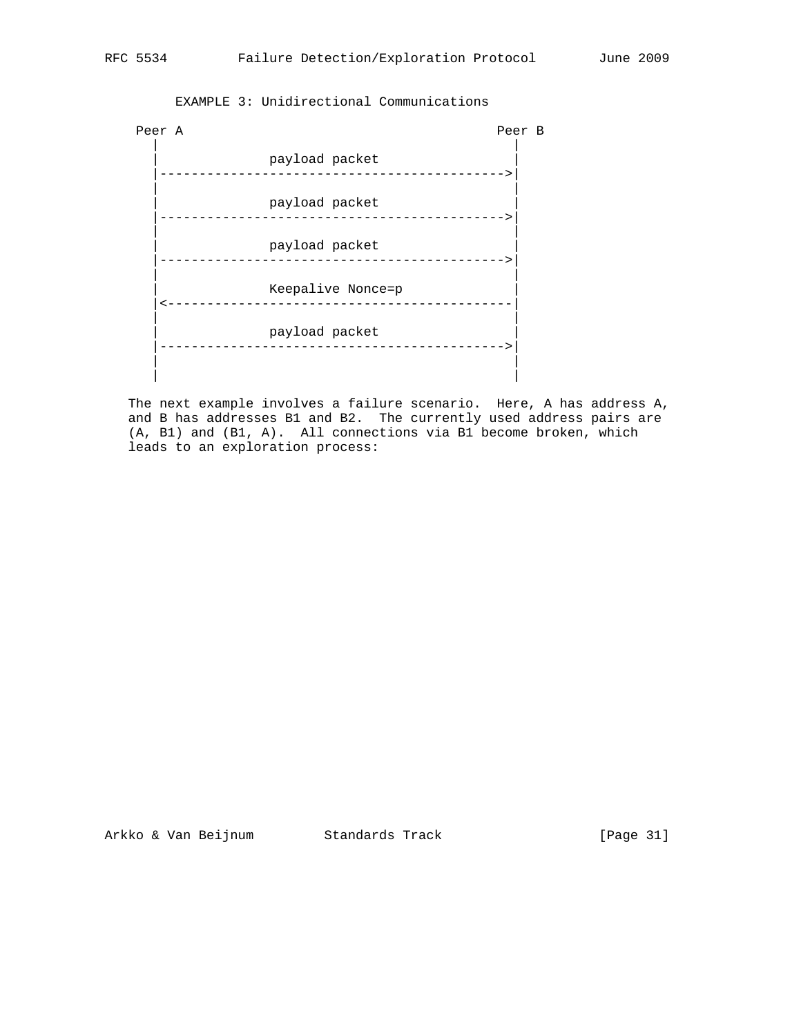# Peer A Peer B | | | payload packet | |-------------------------------------------->| | | payload packet |-------------------------------------------->| | | payload packet |-------------------------------------------->| | | Keepalive Nonce=p |<--------------------------------------------| | | | payload packet | |-------------------------------------------->| | | | |

EXAMPLE 3: Unidirectional Communications

 The next example involves a failure scenario. Here, A has address A, and B has addresses B1 and B2. The currently used address pairs are (A, B1) and (B1, A). All connections via B1 become broken, which leads to an exploration process:

Arkko & Van Beijnum Standards Track [Page 31]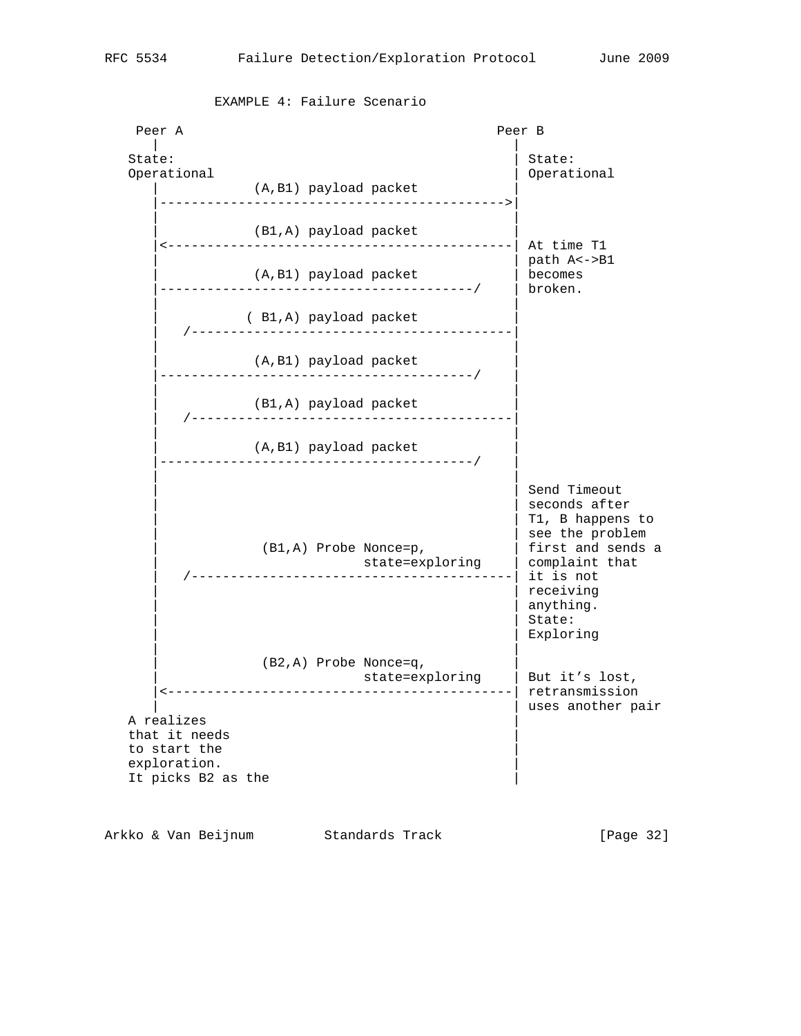| Peer A                                             |                                                                              | Peer B                                                                                                                                                                    |
|----------------------------------------------------|------------------------------------------------------------------------------|---------------------------------------------------------------------------------------------------------------------------------------------------------------------------|
| State:<br>Operational                              | (A, B1) payload packet                                                       | State:<br>Operational                                                                                                                                                     |
| .                                                  | (B1,A) payload packet                                                        | At time T1                                                                                                                                                                |
|                                                    | (A, B1) payload packet<br>------------------------------------/              | path A<->B1<br>becomes<br>broken.                                                                                                                                         |
|                                                    | (B1,A) payload packet<br>------------------------------                      |                                                                                                                                                                           |
|                                                    | (A,B1) payload packet                                                        |                                                                                                                                                                           |
|                                                    | (B1,A) payload packet                                                        |                                                                                                                                                                           |
|                                                    | (A, B1) payload packet<br>-----------------------------------/               |                                                                                                                                                                           |
|                                                    | (B1,A) Probe Nonce=p,                                                        | Send Timeout<br>seconds after<br>T1, B happens to<br>see the problem<br>first and sends a<br>complaint that<br>it is not<br>receiving<br>anything.<br>State:<br>Exploring |
| A realizes<br>that it needs                        | (B2, A) Probe Nonce=q,<br>state=exploring<br>------------------------------- | But it's lost,<br>retransmission<br>uses another pair                                                                                                                     |
| to start the<br>exploration.<br>It picks B2 as the |                                                                              |                                                                                                                                                                           |

EXAMPLE 4: Failure Scenario

Arkko & Van Beijnum Standards Track (Page 32)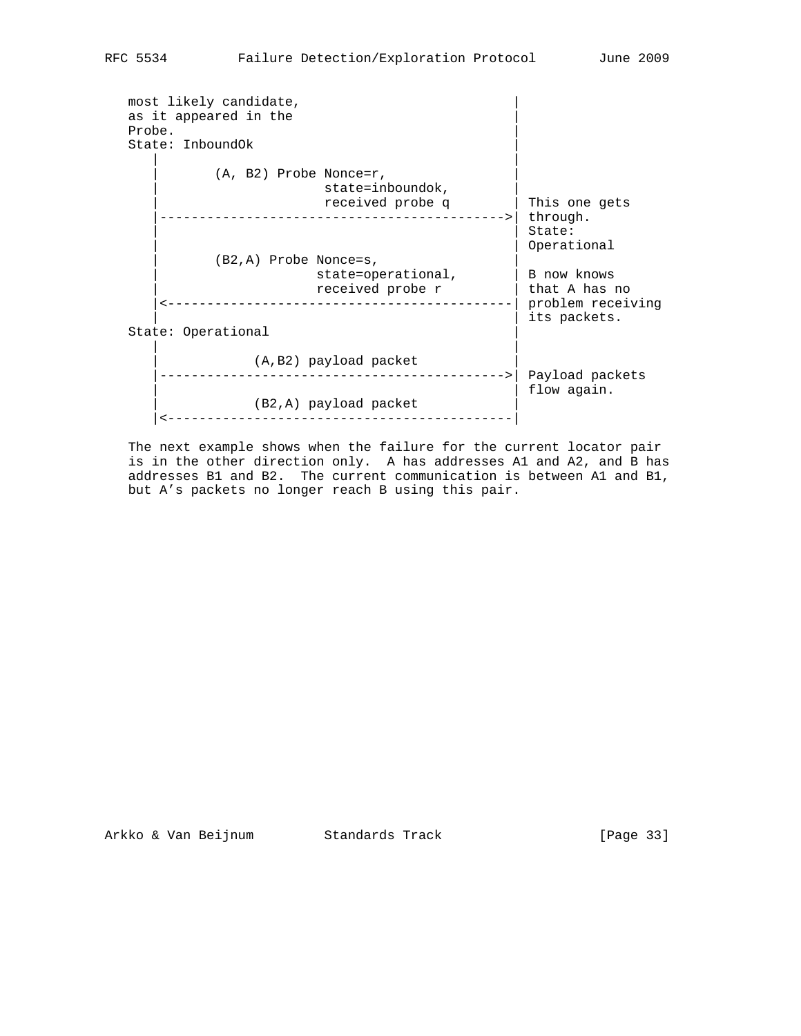| Probe. | most likely candidate,<br>as it appeared in the<br>State: InboundOk                                     |                                                   |
|--------|---------------------------------------------------------------------------------------------------------|---------------------------------------------------|
|        | $(A, B2)$ Probe Nonce=r,<br>state=inboundok,<br>received probe q<br>----------------------------------- | This one gets<br>through.                         |
|        | $(B2,A)$ Probe Nonce=s,                                                                                 | State:<br>Operational                             |
|        | state=operational,<br>received probe r<br>_____________________                                         | B now knows<br>that A has no<br>problem receiving |
|        | State: Operational                                                                                      | its packets.                                      |
|        | (A,B2) payload packet                                                                                   | Payload packets                                   |
|        | (B2,A) payload packet                                                                                   | flow again.                                       |

 The next example shows when the failure for the current locator pair is in the other direction only. A has addresses A1 and A2, and B has addresses B1 and B2. The current communication is between A1 and B1, but A's packets no longer reach B using this pair.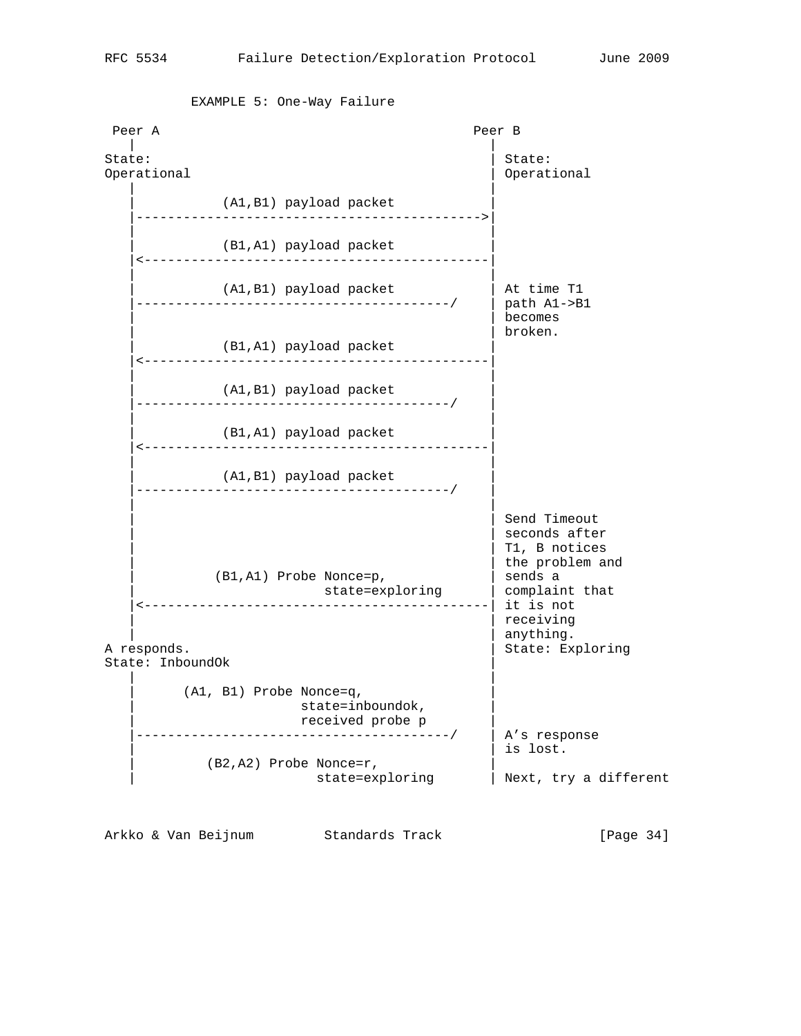Peer A Peer B | | State:  $\vert$  State:  $\vert$  State: Operational | Operational | Operational | Operational | Operational | Operational | Operational | Operational | | Al,B1) payload packet)<br>---------------------------------- |-------------------------------------------->| | | (B1,A1) payload packet |<--------------------------------------------| | | | (A1,B1) payload packet | At time T1 |----------------------------------------/ | path A1->B1 | | becomes | | broken. (B1,A1) payload packet |<--------------------------------------------| | | (A1,B1) payload packet |----------------------------------------/ | | | (B1,A1) payload packet |<--------------------------------------------| | | (A1,B1) payload packet |----------------------------------------/ | | | Send Timeout  $|$  seconds after T1, B notices | the problem and<br>| sends a (B1,A1) Probe Nonce=p,  $|$  sends a<br>state=exploring  $|$  complaint that state=exploring |<--------------------------------------------| it is not receiving anything. A responds.  $|$  State: Exploring State: InboundOk | | | | (A1, B1) Probe Nonce=q, | state=inboundok, | received probe p | |----------------------------------------/ | A's response  $\vert$  is lost. (B2,A2) Probe Nonce=r, state=exploring | Next, try a different

EXAMPLE 5: One-Way Failure

Arkko & Van Beijnum Standards Track [Page 34]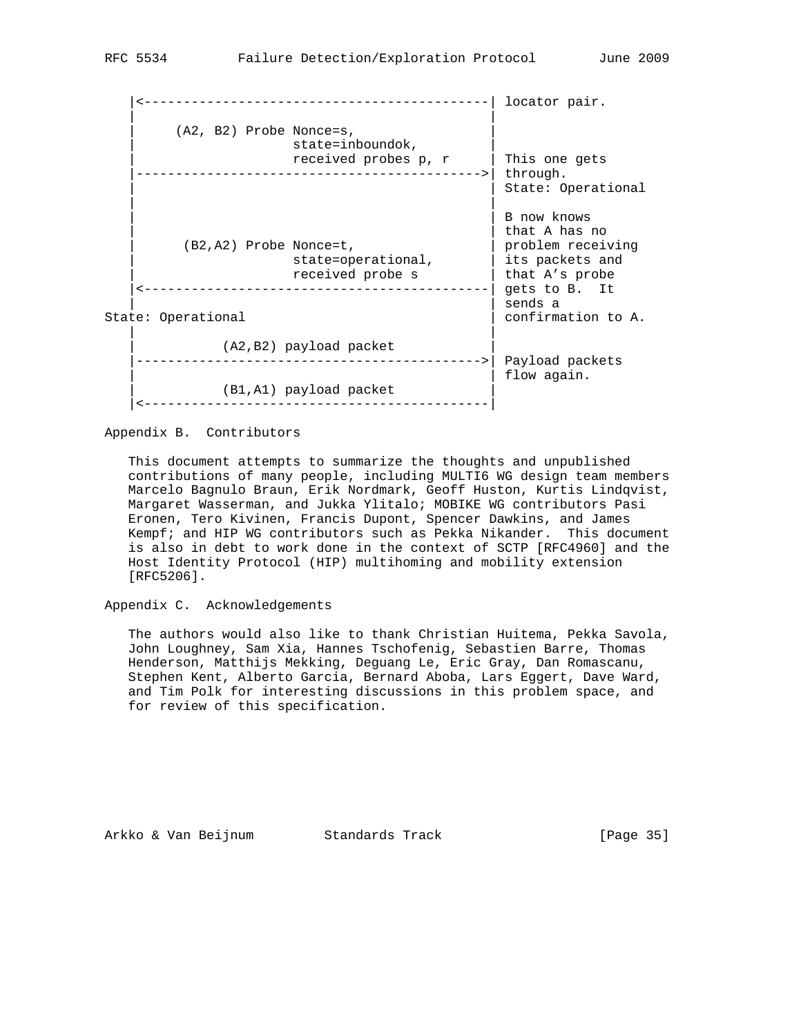|<--------------------------------------------| locator pair. | | (A2, B2) Probe Nonce=s, state=inboundok, | received probes p, r | This one gets |-------------------------------------------->| through. | State: Operational | | | | B now knows | that A has no<br>| problem receiving<br>| its packets and (B2,A2) Probe Nonce=t, | state=operational, | its packets and | received probe s | that A's probe |<--------------------------------------------| gets to B. It sends a State: Operational  $\vert$  confirmation to A. | | (A2,B2) payload packet |-------------------------------------------->| Payload packets flow again. (B1,A1) payload packet |<--------------------------------------------|

Appendix B. Contributors

 This document attempts to summarize the thoughts and unpublished contributions of many people, including MULTI6 WG design team members Marcelo Bagnulo Braun, Erik Nordmark, Geoff Huston, Kurtis Lindqvist, Margaret Wasserman, and Jukka Ylitalo; MOBIKE WG contributors Pasi Eronen, Tero Kivinen, Francis Dupont, Spencer Dawkins, and James Kempf; and HIP WG contributors such as Pekka Nikander. This document is also in debt to work done in the context of SCTP [RFC4960] and the Host Identity Protocol (HIP) multihoming and mobility extension [RFC5206].

Appendix C. Acknowledgements

 The authors would also like to thank Christian Huitema, Pekka Savola, John Loughney, Sam Xia, Hannes Tschofenig, Sebastien Barre, Thomas Henderson, Matthijs Mekking, Deguang Le, Eric Gray, Dan Romascanu, Stephen Kent, Alberto Garcia, Bernard Aboba, Lars Eggert, Dave Ward, and Tim Polk for interesting discussions in this problem space, and for review of this specification.

Arkko & Van Beijnum Standards Track [Page 35]